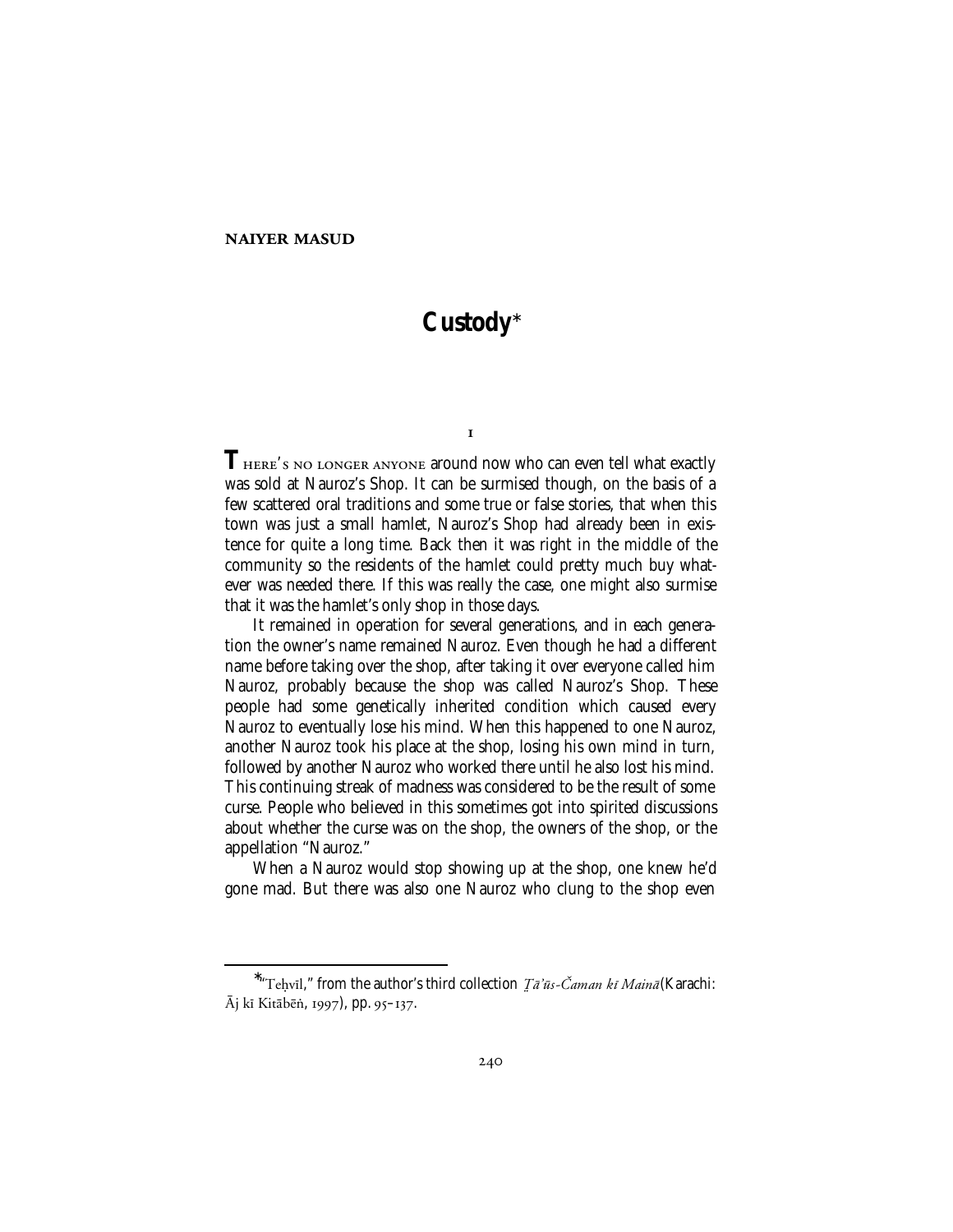#### **NAIYER MASUD**

ĺ

# **Custody**

 $\mathbf I$ 

 $T_{\text{HERE}}$ 's no longer anyone around now who can even tell what exactly was sold at Nauroz's Shop. It can be surmised though, on the basis of a few scattered oral traditions and some true or false stories, that when this town was just a small hamlet, Nauroz's Shop had already been in existence for quite a long time. Back then it was right in the middle of the community so the residents of the hamlet could pretty much buy whatever was needed there. If this was really the case, one might also surmise that it was the hamlet's only shop in those days.

It remained in operation for several generations, and in each generation the owner's name remained Nauroz. Even though he had a different name before taking over the shop, after taking it over everyone called him Nauroz, probably because the shop was called Nauroz's Shop. These people had some genetically inherited condition which caused every Nauroz to eventually lose his mind. When this happened to one Nauroz, another Nauroz took his place at the shop, losing his own mind in turn, followed by another Nauroz who worked there until he also lost his mind. This continuing streak of madness was considered to be the result of some curse. People who believed in this sometimes got into spirited discussions about whether the curse was on the shop, the owners of the shop, or the appellation "Nauroz."

When a Nauroz would stop showing up at the shop, one knew he'd gone mad. But there was also one Nauroz who clung to the shop even

<sup>&</sup>quot;Te√vµl," from the author's third collection *∫≥'∑s-≤aman kµ Main≥*(Karachi: Āj kī Kitābēn, 1997), pp. 95-137.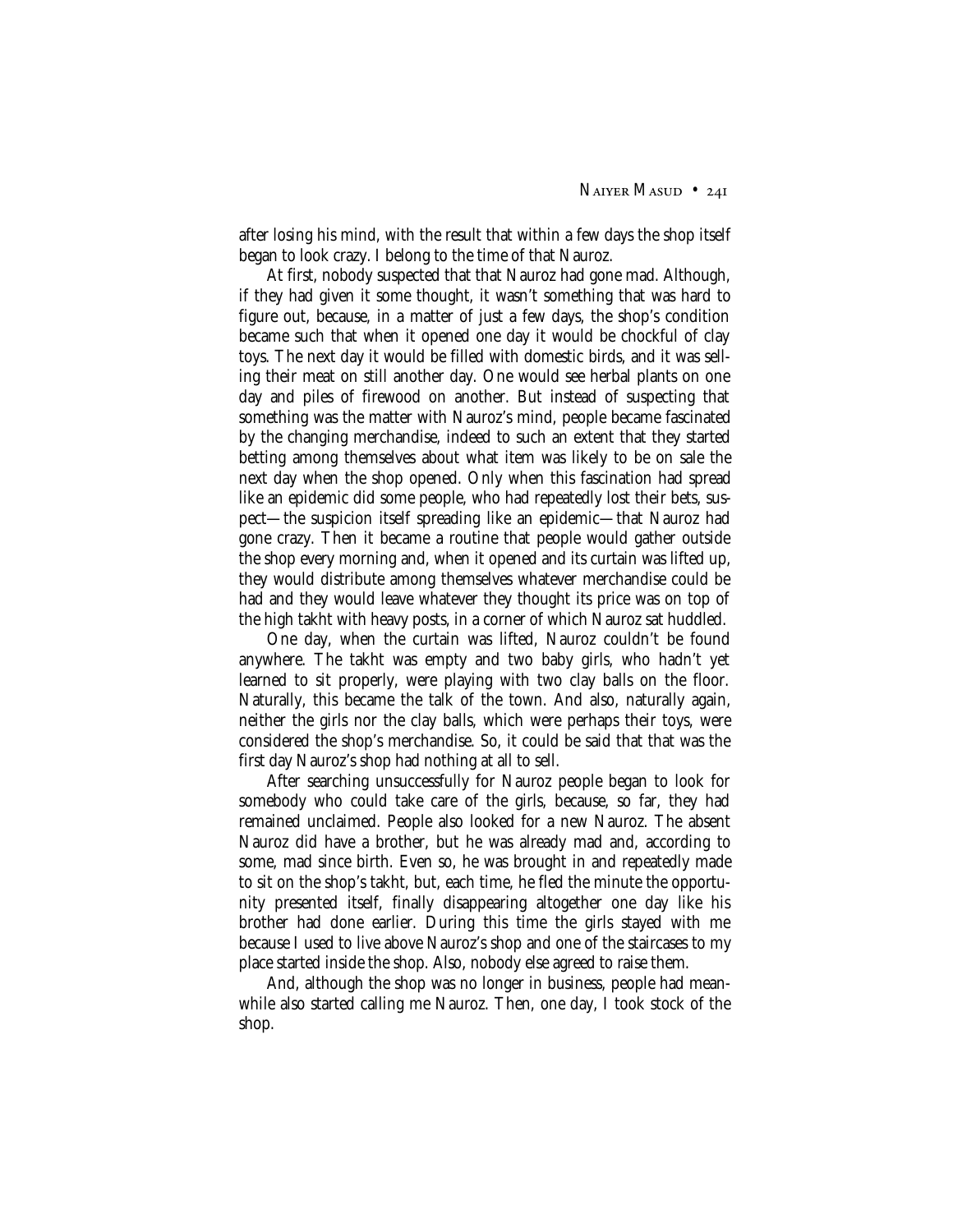after losing his mind, with the result that within a few days the shop itself began to look crazy. I belong to the time of that Nauroz.

At first, nobody suspected that that Nauroz had gone mad. Although, if they had given it some thought, it wasn't something that was hard to figure out, because, in a matter of just a few days, the shop's condition became such that when it opened one day it would be chockful of clay toys. The next day it would be filled with domestic birds, and it was selling their meat on still another day. One would see herbal plants on one day and piles of firewood on another. But instead of suspecting that something was the matter with Nauroz's mind, people became fascinated by the changing merchandise, indeed to such an extent that they started betting among themselves about what item was likely to be on sale the next day when the shop opened. Only when this fascination had spread like an epidemic did some people, who had repeatedly lost their bets, suspect—the suspicion itself spreading like an epidemic—that Nauroz had gone crazy. Then it became a routine that people would gather outside the shop every morning and, when it opened and its curtain was lifted up, they would distribute among themselves whatever merchandise could be had and they would leave whatever they thought its price was on top of the high takht with heavy posts, in a corner of which Nauroz sat huddled.

One day, when the curtain was lifted, Nauroz couldn't be found anywhere. The takht was empty and two baby girls, who hadn't yet learned to sit properly, were playing with two clay balls on the floor. Naturally, this became the talk of the town. And also, naturally again, neither the girls nor the clay balls, which were perhaps their toys, were considered the shop's merchandise. So, it could be said that that was the first day Nauroz's shop had nothing at all to sell.

After searching unsuccessfully for Nauroz people began to look for somebody who could take care of the girls, because, so far, they had remained unclaimed. People also looked for a new Nauroz. The absent Nauroz did have a brother, but he was already mad and, according to some, mad since birth. Even so, he was brought in and repeatedly made to sit on the shop's takht, but, each time, he fled the minute the opportunity presented itself, finally disappearing altogether one day like his brother had done earlier. During this time the girls stayed with me because I used to live above Nauroz's shop and one of the staircases to my place started inside the shop. Also, nobody else agreed to raise them.

And, although the shop was no longer in business, people had meanwhile also started calling me Nauroz. Then, one day, I took stock of the shop.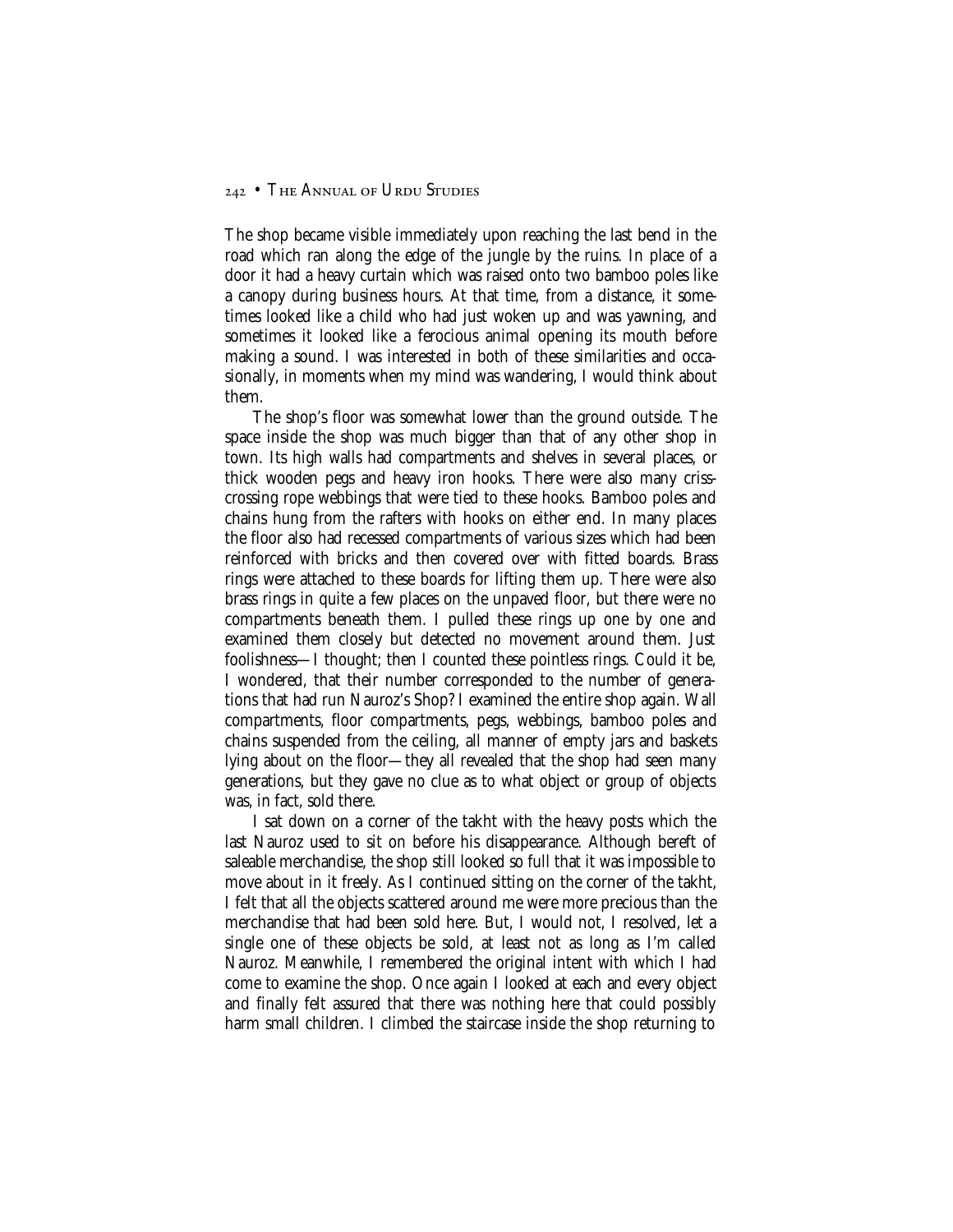The shop became visible immediately upon reaching the last bend in the road which ran along the edge of the jungle by the ruins. In place of a door it had a heavy curtain which was raised onto two bamboo poles like a canopy during business hours. At that time, from a distance, it sometimes looked like a child who had just woken up and was yawning, and sometimes it looked like a ferocious animal opening its mouth before making a sound. I was interested in both of these similarities and occasionally, in moments when my mind was wandering, I would think about them.

The shop's floor was somewhat lower than the ground outside. The space inside the shop was much bigger than that of any other shop in town. Its high walls had compartments and shelves in several places, or thick wooden pegs and heavy iron hooks. There were also many crisscrossing rope webbings that were tied to these hooks. Bamboo poles and chains hung from the rafters with hooks on either end. In many places the floor also had recessed compartments of various sizes which had been reinforced with bricks and then covered over with fitted boards. Brass rings were attached to these boards for lifting them up. There were also brass rings in quite a few places on the unpaved floor, but there were no compartments beneath them. I pulled these rings up one by one and examined them closely but detected no movement around them. Just foolishness—I thought; then I counted these pointless rings. Could it be, I wondered, that their number corresponded to the number of generations that had run Nauroz's Shop? I examined the entire shop again. Wall compartments, floor compartments, pegs, webbings, bamboo poles and chains suspended from the ceiling, all manner of empty jars and baskets lying about on the floor—they all revealed that the shop had seen many generations, but they gave no clue as to what object or group of objects was, in fact, sold there.

I sat down on a corner of the takht with the heavy posts which the last Nauroz used to sit on before his disappearance. Although bereft of saleable merchandise, the shop still looked so full that it was impossible to move about in it freely. As I continued sitting on the corner of the takht, I felt that all the objects scattered around me were more precious than the merchandise that had been sold here. But, I would not, I resolved, let a single one of these objects be sold, at least not as long as I'm called Nauroz. Meanwhile, I remembered the original intent with which I had come to examine the shop. Once again I looked at each and every object and finally felt assured that there was nothing here that could possibly harm small children. I climbed the staircase inside the shop returning to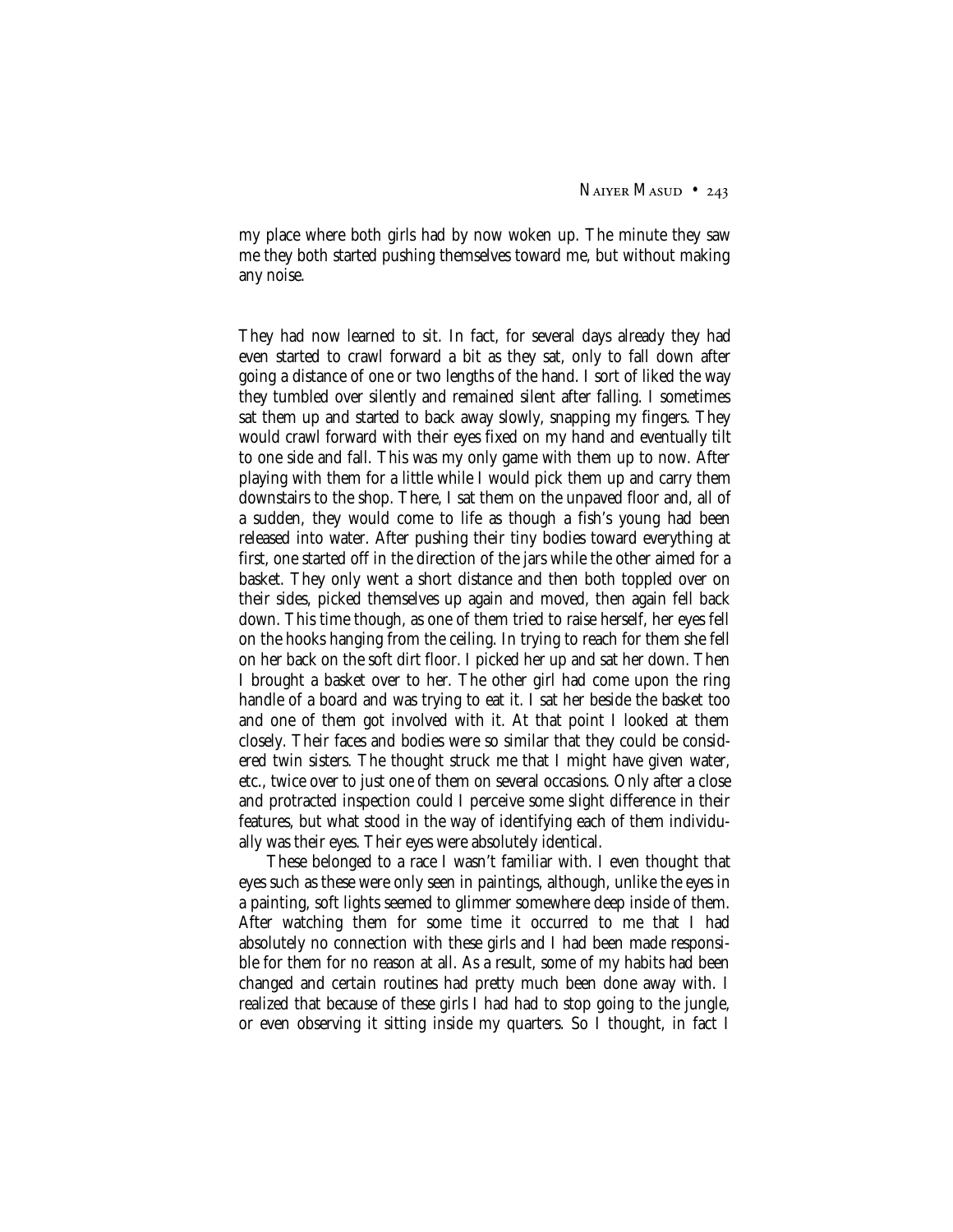my place where both girls had by now woken up. The minute they saw me they both started pushing themselves toward me, but without making any noise.

They had now learned to sit. In fact, for several days already they had even started to crawl forward a bit as they sat, only to fall down after going a distance of one or two lengths of the hand. I sort of liked the way they tumbled over silently and remained silent after falling. I sometimes sat them up and started to back away slowly, snapping my fingers. They would crawl forward with their eyes fixed on my hand and eventually tilt to one side and fall. This was my only game with them up to now. After playing with them for a little while I would pick them up and carry them downstairs to the shop. There, I sat them on the unpaved floor and, all of a sudden, they would come to life as though a fish's young had been released into water. After pushing their tiny bodies toward everything at first, one started off in the direction of the jars while the other aimed for a basket. They only went a short distance and then both toppled over on their sides, picked themselves up again and moved, then again fell back down. This time though, as one of them tried to raise herself, her eyes fell on the hooks hanging from the ceiling. In trying to reach for them she fell on her back on the soft dirt floor. I picked her up and sat her down. Then I brought a basket over to her. The other girl had come upon the ring handle of a board and was trying to eat it. I sat her beside the basket too and one of them got involved with it. At that point I looked at them closely. Their faces and bodies were so similar that they could be considered twin sisters. The thought struck me that I might have given water, etc., twice over to just one of them on several occasions. Only after a close and protracted inspection could I perceive some slight difference in their features, but what stood in the way of identifying each of them individually was their eyes. Their eyes were absolutely identical.

These belonged to a race I wasn't familiar with. I even thought that eyes such as these were only seen in paintings, although, unlike the eyes in a painting, soft lights seemed to glimmer somewhere deep inside of them. After watching them for some time it occurred to me that I had absolutely no connection with these girls and I had been made responsible for them for no reason at all. As a result, some of my habits had been changed and certain routines had pretty much been done away with. I realized that because of these girls I had had to stop going to the jungle, or even observing it sitting inside my quarters. So I thought, in fact I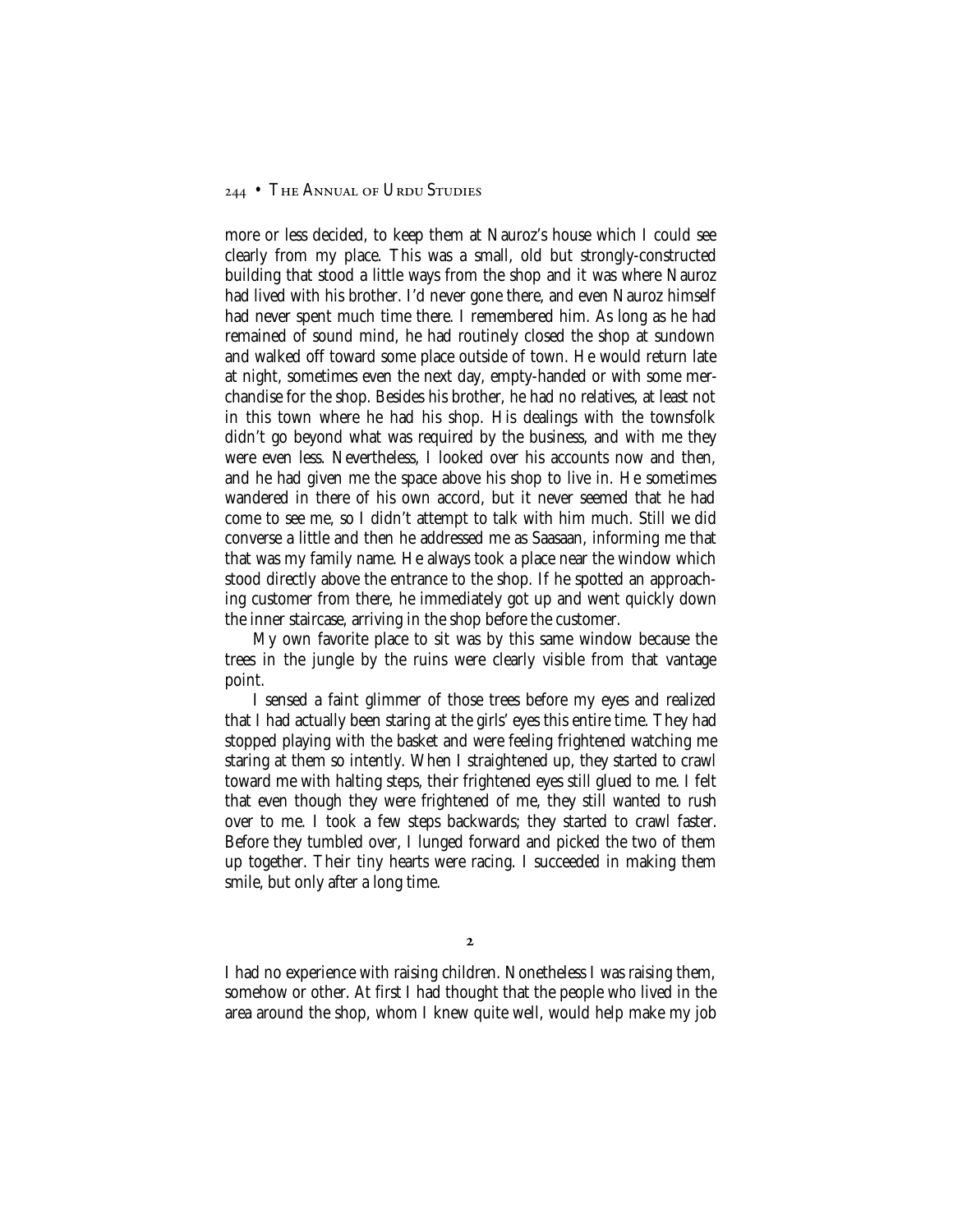more or less decided, to keep them at Nauroz's house which I could see clearly from my place. This was a small, old but strongly-constructed building that stood a little ways from the shop and it was where Nauroz had lived with his brother. I'd never gone there, and even Nauroz himself had never spent much time there. I remembered him. As long as he had remained of sound mind, he had routinely closed the shop at sundown and walked off toward some place outside of town. He would return late at night, sometimes even the next day, empty-handed or with some merchandise for the shop. Besides his brother, he had no relatives, at least not in this town where he had his shop. His dealings with the townsfolk didn't go beyond what was required by the business, and with me they were even less. Nevertheless, I looked over his accounts now and then, and he had given me the space above his shop to live in. He sometimes wandered in there of his own accord, but it never seemed that he had come to see me, so I didn't attempt to talk with him much. Still we did converse a little and then he addressed me as Saasaan, informing me that that was my family name. He always took a place near the window which stood directly above the entrance to the shop. If he spotted an approaching customer from there, he immediately got up and went quickly down the inner staircase, arriving in the shop before the customer.

My own favorite place to sit was by this same window because the trees in the jungle by the ruins were clearly visible from that vantage point.

I sensed a faint glimmer of those trees before my eyes and realized that I had actually been staring at the girls' eyes this entire time. They had stopped playing with the basket and were feeling frightened watching me staring at them so intently. When I straightened up, they started to crawl toward me with halting steps, their frightened eyes still glued to me. I felt that even though they were frightened of me, they still wanted to rush over to me. I took a few steps backwards; they started to crawl faster. Before they tumbled over, I lunged forward and picked the two of them up together. Their tiny hearts were racing. I succeeded in making them smile, but only after a long time.

 $\mathbf{2}$ 

I had no experience with raising children. Nonetheless I was raising them, somehow or other. At first I had thought that the people who lived in the area around the shop, whom I knew quite well, would help make my job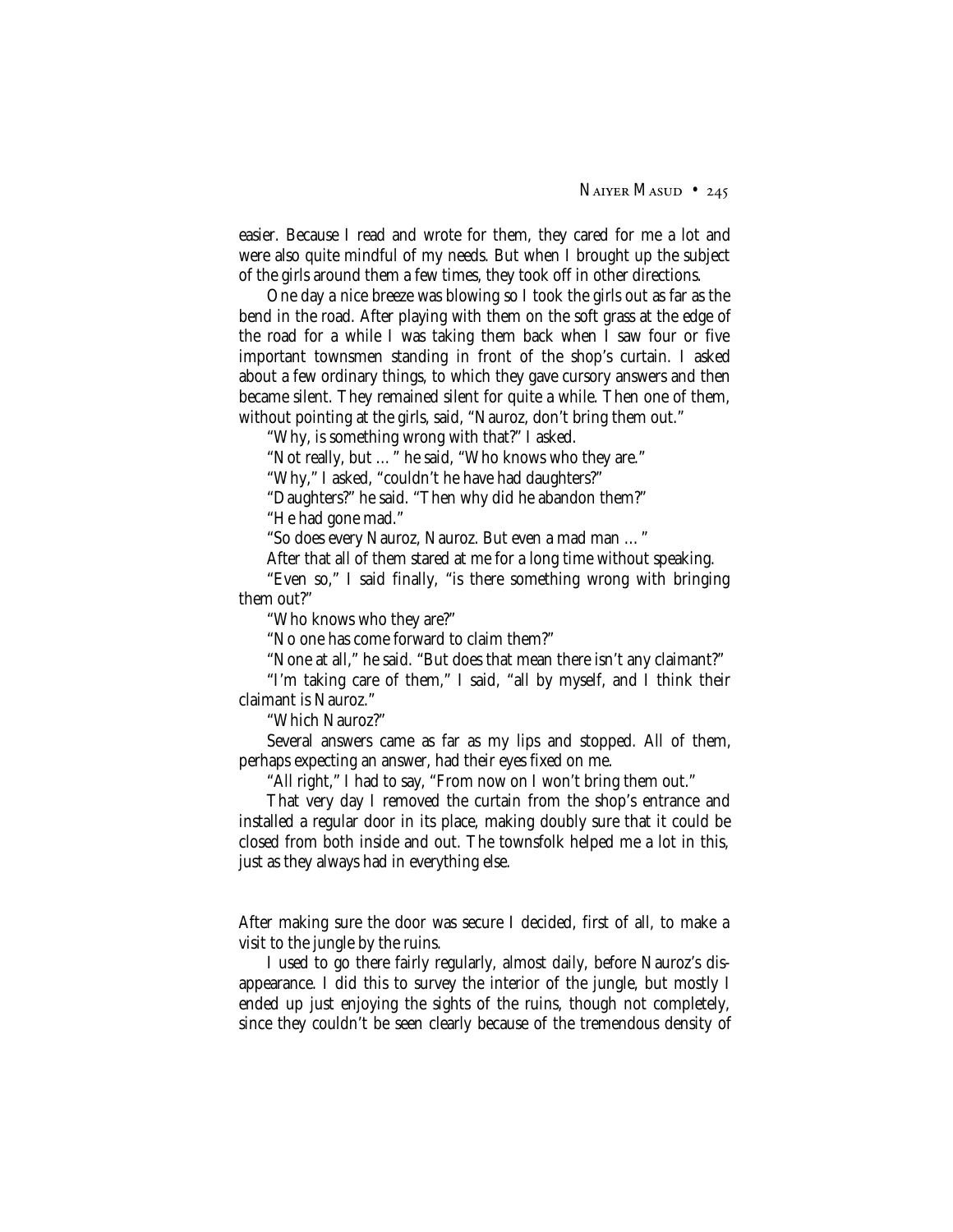easier. Because I read and wrote for them, they cared for me a lot and were also quite mindful of my needs. But when I brought up the subject of the girls around them a few times, they took off in other directions.

One day a nice breeze was blowing so I took the girls out as far as the bend in the road. After playing with them on the soft grass at the edge of the road for a while I was taking them back when I saw four or five important townsmen standing in front of the shop's curtain. I asked about a few ordinary things, to which they gave cursory answers and then became silent. They remained silent for quite a while. Then one of them, without pointing at the girls, said, "Nauroz, don't bring them out."

"Why, is something wrong with that?" I asked.

"Not really, but …" he said, "Who knows who they are."

"Why," I asked, "couldn't he have had daughters?"

"Daughters?" he said. "Then why did he abandon them?"

"He had gone mad."

"So does every Nauroz, Nauroz. But even a mad man …"

After that all of them stared at me for a long time without speaking.

"Even so," I said finally, "is there something wrong with bringing them out?"

"Who knows who they are?"

"No one has come forward to claim them?"

"None at all," he said. "But does that mean there isn't any claimant?"

"I'm taking care of them," I said, "all by myself, and I think their claimant is Nauroz."

"Which Nauroz?"

Several answers came as far as my lips and stopped. All of them, perhaps expecting an answer, had their eyes fixed on me.

"All right," I had to say, "From now on I won't bring them out."

That very day I removed the curtain from the shop's entrance and installed a regular door in its place, making doubly sure that it could be closed from both inside and out. The townsfolk helped me a lot in this, just as they always had in everything else.

After making sure the door was secure I decided, first of all, to make a visit to the jungle by the ruins.

I used to go there fairly regularly, almost daily, before Nauroz's disappearance. I did this to survey the interior of the jungle, but mostly I ended up just enjoying the sights of the ruins, though not completely, since they couldn't be seen clearly because of the tremendous density of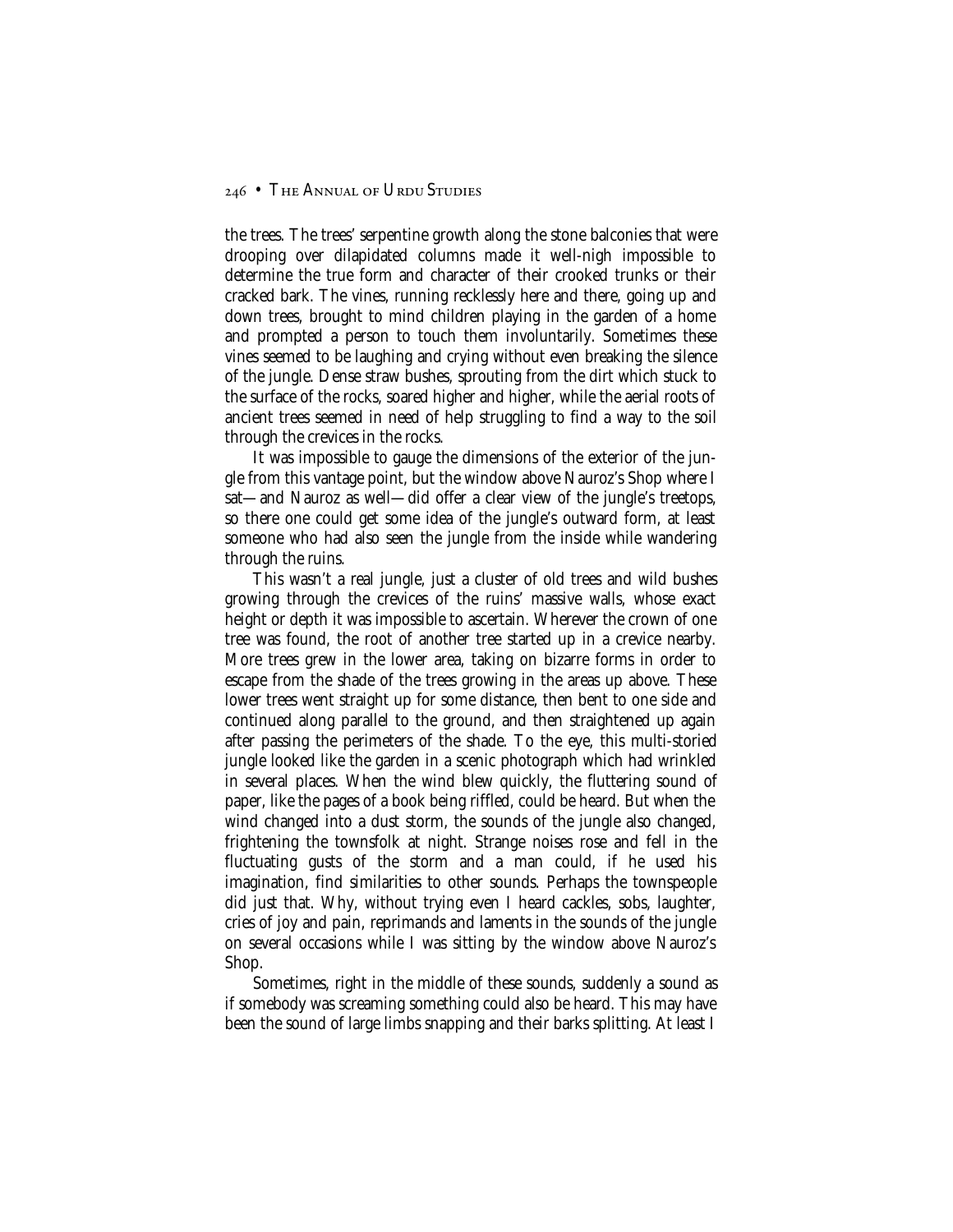the trees. The trees' serpentine growth along the stone balconies that were drooping over dilapidated columns made it well-nigh impossible to determine the true form and character of their crooked trunks or their cracked bark. The vines, running recklessly here and there, going up and down trees, brought to mind children playing in the garden of a home and prompted a person to touch them involuntarily. Sometimes these vines seemed to be laughing and crying without even breaking the silence of the jungle. Dense straw bushes, sprouting from the dirt which stuck to the surface of the rocks, soared higher and higher, while the aerial roots of ancient trees seemed in need of help struggling to find a way to the soil through the crevices in the rocks.

It was impossible to gauge the dimensions of the exterior of the jungle from this vantage point, but the window above Nauroz's Shop where I sat—and Nauroz as well—did offer a clear view of the jungle's treetops, so there one could get some idea of the jungle's outward form, at least someone who had also seen the jungle from the inside while wandering through the ruins.

This wasn't a real jungle, just a cluster of old trees and wild bushes growing through the crevices of the ruins' massive walls, whose exact height or depth it was impossible to ascertain. Wherever the crown of one tree was found, the root of another tree started up in a crevice nearby. More trees grew in the lower area, taking on bizarre forms in order to escape from the shade of the trees growing in the areas up above. These lower trees went straight up for some distance, then bent to one side and continued along parallel to the ground, and then straightened up again after passing the perimeters of the shade. To the eye, this multi-storied jungle looked like the garden in a scenic photograph which had wrinkled in several places. When the wind blew quickly, the fluttering sound of paper, like the pages of a book being riffled, could be heard. But when the wind changed into a dust storm, the sounds of the jungle also changed, frightening the townsfolk at night. Strange noises rose and fell in the fluctuating gusts of the storm and a man could, if he used his imagination, find similarities to other sounds. Perhaps the townspeople did just that. Why, without trying even I heard cackles, sobs, laughter, cries of joy and pain, reprimands and laments in the sounds of the jungle on several occasions while I was sitting by the window above Nauroz's Shop.

Sometimes, right in the middle of these sounds, suddenly a sound as if somebody was screaming something could also be heard. This may have been the sound of large limbs snapping and their barks splitting. At least I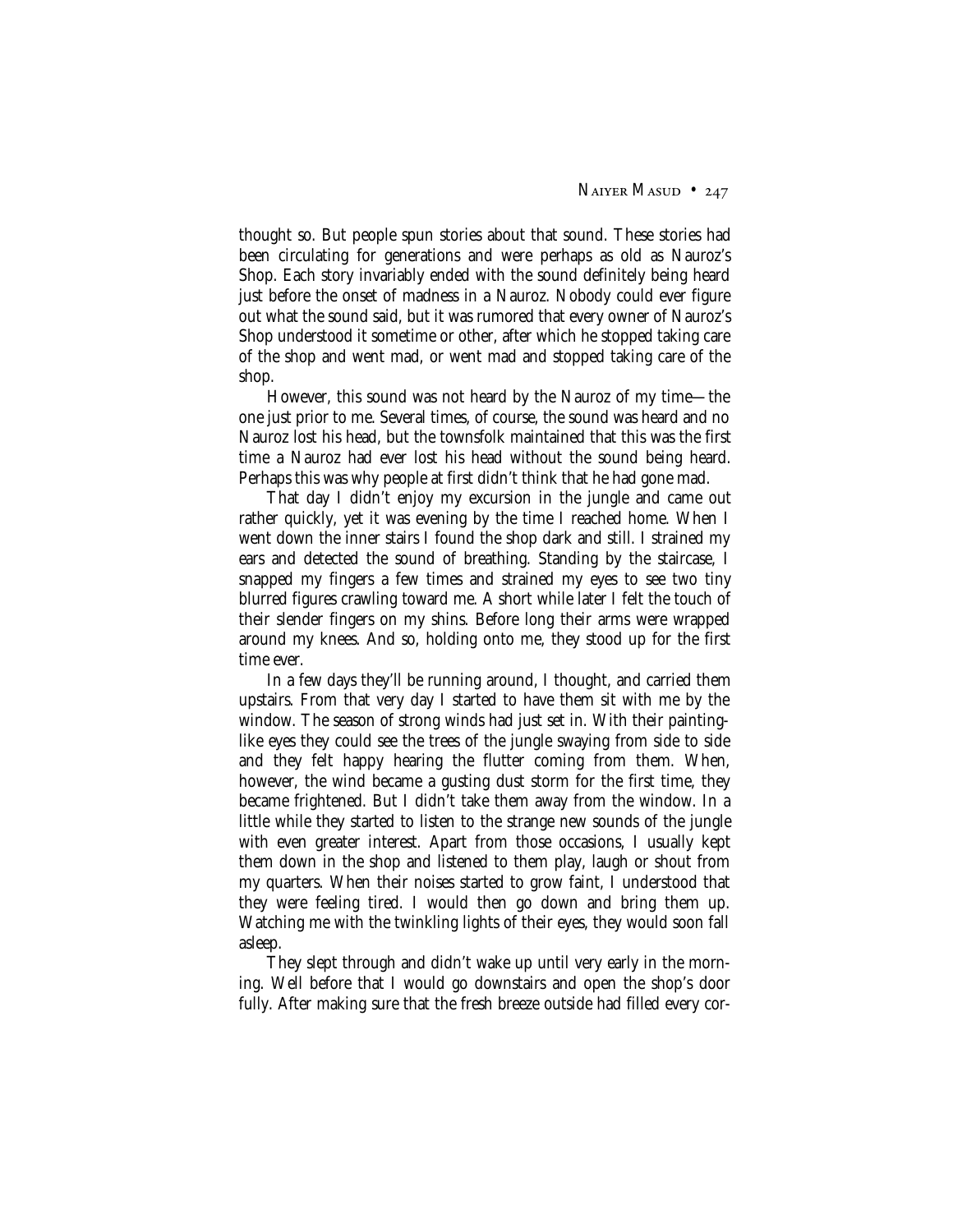thought so. But people spun stories about that sound. These stories had been circulating for generations and were perhaps as old as Nauroz's Shop. Each story invariably ended with the sound definitely being heard just before the onset of madness in a Nauroz. Nobody could ever figure out what the sound said, but it was rumored that every owner of Nauroz's Shop understood it sometime or other, after which he stopped taking care of the shop and went mad, or went mad and stopped taking care of the shop.

However, this sound was not heard by the Nauroz of my time—the one just prior to me. Several times, of course, the sound was heard and no Nauroz lost his head, but the townsfolk maintained that this was the first time a Nauroz had ever lost his head without the sound being heard. Perhaps this was why people at first didn't think that he had gone mad.

That day I didn't enjoy my excursion in the jungle and came out rather quickly, yet it was evening by the time I reached home. When I went down the inner stairs I found the shop dark and still. I strained my ears and detected the sound of breathing. Standing by the staircase, I snapped my fingers a few times and strained my eyes to see two tiny blurred figures crawling toward me. A short while later I felt the touch of their slender fingers on my shins. Before long their arms were wrapped around my knees. And so, holding onto me, they stood up for the first time ever.

In a few days they'll be running around, I thought, and carried them upstairs. From that very day I started to have them sit with me by the window. The season of strong winds had just set in. With their paintinglike eyes they could see the trees of the jungle swaying from side to side and they felt happy hearing the flutter coming from them. When, however, the wind became a gusting dust storm for the first time, they became frightened. But I didn't take them away from the window. In a little while they started to listen to the strange new sounds of the jungle with even greater interest. Apart from those occasions, I usually kept them down in the shop and listened to them play, laugh or shout from my quarters. When their noises started to grow faint, I understood that they were feeling tired. I would then go down and bring them up. Watching me with the twinkling lights of their eyes, they would soon fall asleep.

They slept through and didn't wake up until very early in the morning. Well before that I would go downstairs and open the shop's door fully. After making sure that the fresh breeze outside had filled every cor-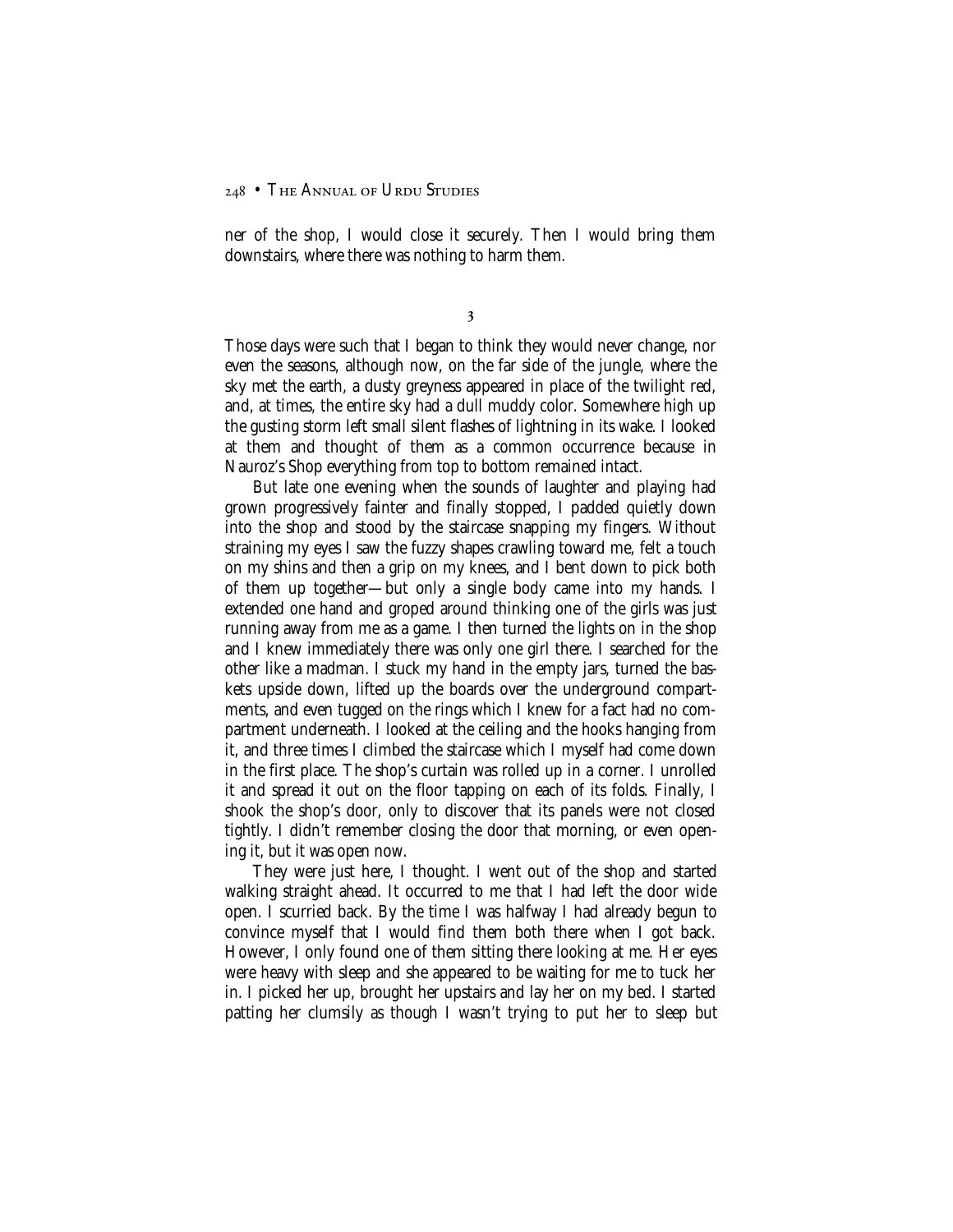ner of the shop, I would close it securely. Then I would bring them downstairs, where there was nothing to harm them.

 $\overline{\mathbf{3}}$ 

Those days were such that I began to think they would never change, nor even the seasons, although now, on the far side of the jungle, where the sky met the earth, a dusty greyness appeared in place of the twilight red, and, at times, the entire sky had a dull muddy color. Somewhere high up the gusting storm left small silent flashes of lightning in its wake. I looked at them and thought of them as a common occurrence because in Nauroz's Shop everything from top to bottom remained intact.

But late one evening when the sounds of laughter and playing had grown progressively fainter and finally stopped, I padded quietly down into the shop and stood by the staircase snapping my fingers. Without straining my eyes I saw the fuzzy shapes crawling toward me, felt a touch on my shins and then a grip on my knees, and I bent down to pick both of them up together—but only a single body came into my hands. I extended one hand and groped around thinking one of the girls was just running away from me as a game. I then turned the lights on in the shop and I knew immediately there was only one girl there. I searched for the other like a madman. I stuck my hand in the empty jars, turned the baskets upside down, lifted up the boards over the underground compartments, and even tugged on the rings which I knew for a fact had no compartment underneath. I looked at the ceiling and the hooks hanging from it, and three times I climbed the staircase which I myself had come down in the first place. The shop's curtain was rolled up in a corner. I unrolled it and spread it out on the floor tapping on each of its folds. Finally, I shook the shop's door, only to discover that its panels were not closed tightly. I didn't remember closing the door that morning, or even opening it, but it was open now.

They were just here, I thought. I went out of the shop and started walking straight ahead. It occurred to me that I had left the door wide open. I scurried back. By the time I was halfway I had already begun to convince myself that I would find them both there when I got back. However, I only found one of them sitting there looking at me. Her eyes were heavy with sleep and she appeared to be waiting for me to tuck her in. I picked her up, brought her upstairs and lay her on my bed. I started patting her clumsily as though I wasn't trying to put her to sleep but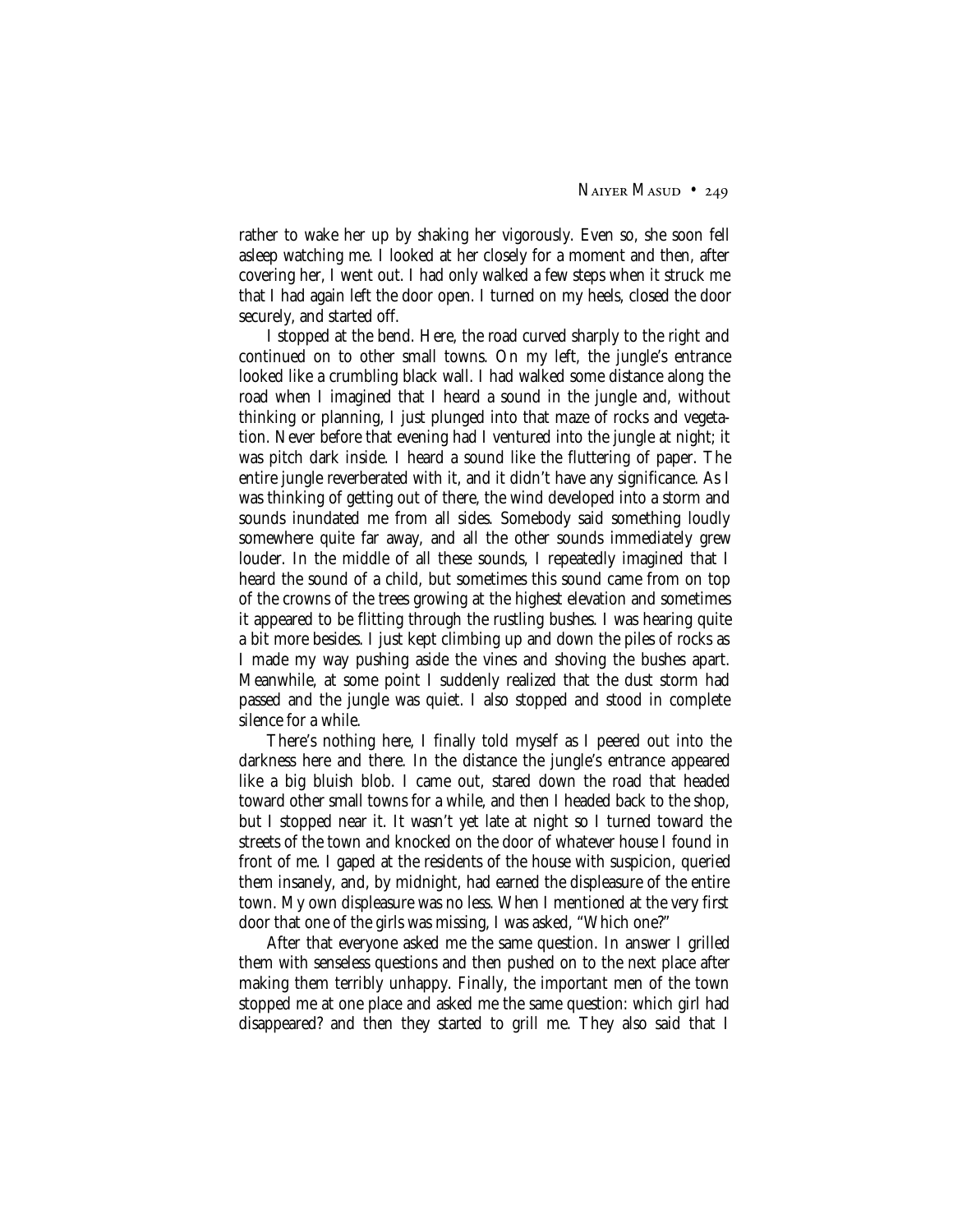rather to wake her up by shaking her vigorously. Even so, she soon fell asleep watching me. I looked at her closely for a moment and then, after covering her, I went out. I had only walked a few steps when it struck me that I had again left the door open. I turned on my heels, closed the door securely, and started off.

I stopped at the bend. Here, the road curved sharply to the right and continued on to other small towns. On my left, the jungle's entrance looked like a crumbling black wall. I had walked some distance along the road when I imagined that I heard a sound in the jungle and, without thinking or planning, I just plunged into that maze of rocks and vegetation. Never before that evening had I ventured into the jungle at night; it was pitch dark inside. I heard a sound like the fluttering of paper. The entire jungle reverberated with it, and it didn't have any significance. As I was thinking of getting out of there, the wind developed into a storm and sounds inundated me from all sides. Somebody said something loudly somewhere quite far away, and all the other sounds immediately grew louder. In the middle of all these sounds, I repeatedly imagined that I heard the sound of a child, but sometimes this sound came from on top of the crowns of the trees growing at the highest elevation and sometimes it appeared to be flitting through the rustling bushes. I was hearing quite a bit more besides. I just kept climbing up and down the piles of rocks as I made my way pushing aside the vines and shoving the bushes apart. Meanwhile, at some point I suddenly realized that the dust storm had passed and the jungle was quiet. I also stopped and stood in complete silence for a while.

There's nothing here, I finally told myself as I peered out into the darkness here and there. In the distance the jungle's entrance appeared like a big bluish blob. I came out, stared down the road that headed toward other small towns for a while, and then I headed back to the shop, but I stopped near it. It wasn't yet late at night so I turned toward the streets of the town and knocked on the door of whatever house I found in front of me. I gaped at the residents of the house with suspicion, queried them insanely, and, by midnight, had earned the displeasure of the entire town. My own displeasure was no less. When I mentioned at the very first door that one of the girls was missing, I was asked, "Which one?"

After that everyone asked me the same question. In answer I grilled them with senseless questions and then pushed on to the next place after making them terribly unhappy. Finally, the important men of the town stopped me at one place and asked me the same question: which girl had disappeared? and then they started to grill me. They also said that I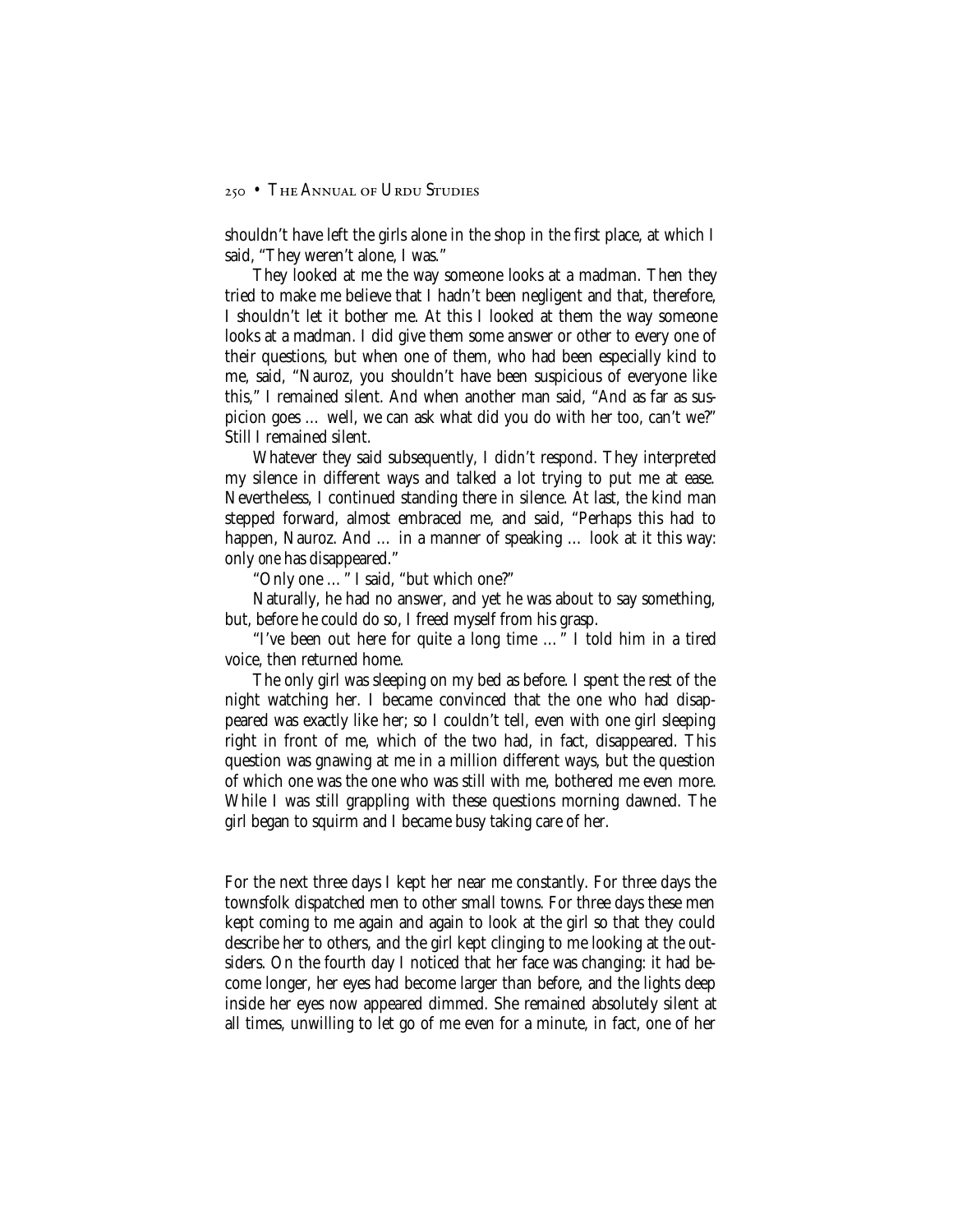shouldn't have left the girls alone in the shop in the first place, at which I said, "They weren't alone, I was."

They looked at me the way someone looks at a madman. Then they tried to make me believe that I hadn't been negligent and that, therefore, I shouldn't let it bother me. At this I looked at them the way someone looks at a madman. I did give them some answer or other to every one of their questions, but when one of them, who had been especially kind to me, said, "Nauroz, you shouldn't have been suspicious of everyone like this," I remained silent. And when another man said, "And as far as suspicion goes … well, we can ask what did you do with her too, can't we?" Still I remained silent.

Whatever they said subsequently, I didn't respond. They interpreted my silence in different ways and talked a lot trying to put me at ease. Nevertheless, I continued standing there in silence. At last, the kind man stepped forward, almost embraced me, and said, "Perhaps this had to happen, Nauroz. And ... in a manner of speaking ... look at it this way: only *one* has disappeared."

"Only one …" I said, "but which one?"

Naturally, he had no answer, and yet he was about to say something, but, before he could do so, I freed myself from his grasp.

"I've been out here for quite a long time …" I told him in a tired voice, then returned home.

The only girl was sleeping on my bed as before. I spent the rest of the night watching her. I became convinced that the one who had disappeared was exactly like her; so I couldn't tell, even with one girl sleeping right in front of me, which of the two had, in fact, disappeared. This question was gnawing at me in a million different ways, but the question of which one was the one who was still with me, bothered me even more. While I was still grappling with these questions morning dawned. The girl began to squirm and I became busy taking care of her.

For the next three days I kept her near me constantly. For three days the townsfolk dispatched men to other small towns. For three days these men kept coming to me again and again to look at the girl so that they could describe her to others, and the girl kept clinging to me looking at the outsiders. On the fourth day I noticed that her face was changing: it had become longer, her eyes had become larger than before, and the lights deep inside her eyes now appeared dimmed. She remained absolutely silent at all times, unwilling to let go of me even for a minute, in fact, one of her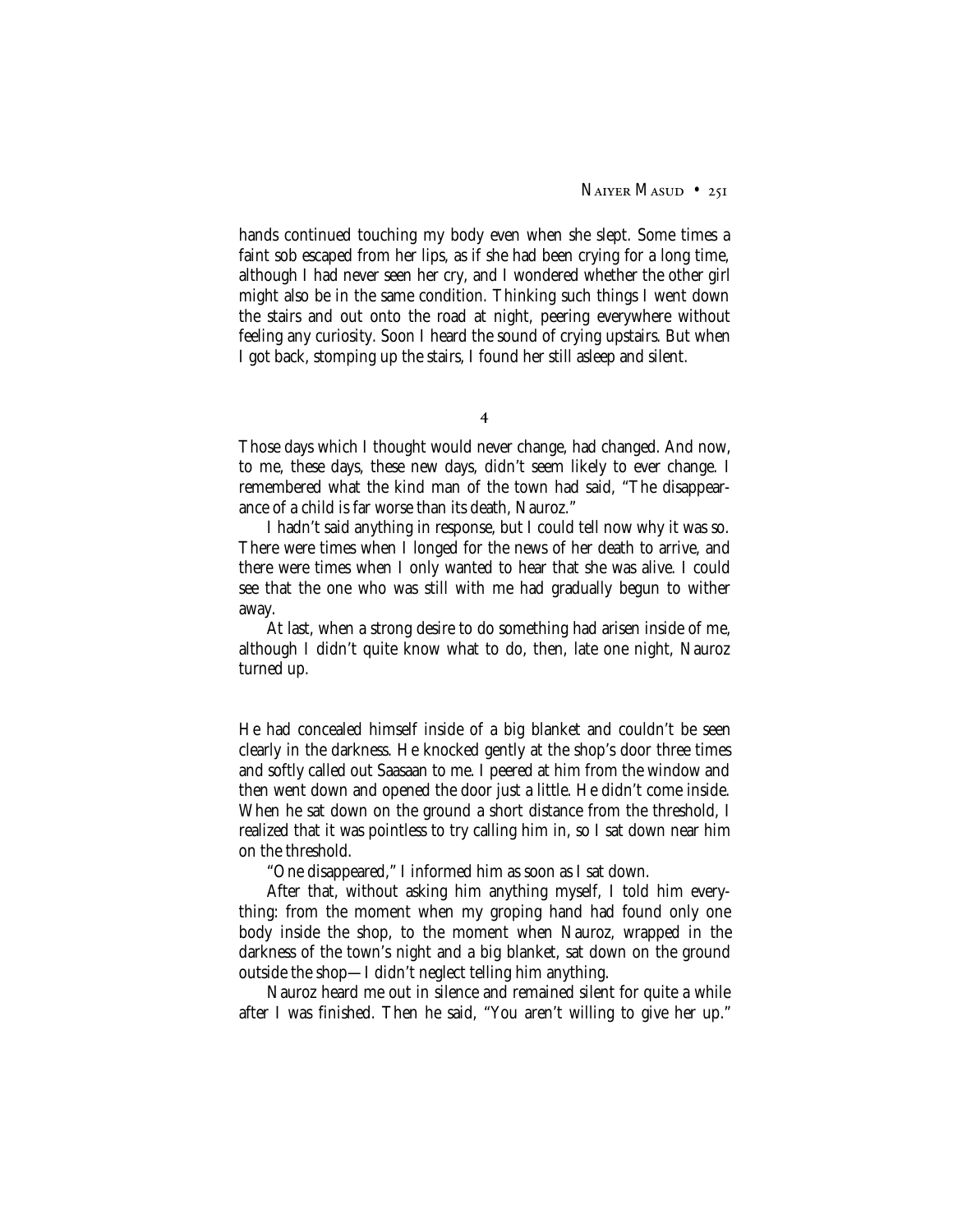hands continued touching my body even when she slept. Some times a faint sob escaped from her lips, as if she had been crying for a long time, although I had never seen her cry, and I wondered whether the other girl might also be in the same condition. Thinking such things I went down the stairs and out onto the road at night, peering everywhere without feeling any curiosity. Soon I heard the sound of crying upstairs. But when I got back, stomping up the stairs, I found her still asleep and silent.

 $\overline{\mathbf{4}}$ 

Those days which I thought would never change, had changed. And now, to me, these days, these new days, didn't seem likely to ever change. I remembered what the kind man of the town had said, "The disappearance of a child is far worse than its death, Nauroz."

I hadn't said anything in response, but I could tell now why it was so. There were times when I longed for the news of her death to arrive, and there were times when I only wanted to hear that she was alive. I could see that the one who was still with me had gradually begun to wither away.

At last, when a strong desire to do something had arisen inside of me, although I didn't quite know what to do, then, late one night, Nauroz turned up.

He had concealed himself inside of a big blanket and couldn't be seen clearly in the darkness. He knocked gently at the shop's door three times and softly called out Saasaan to me. I peered at him from the window and then went down and opened the door just a little. He didn't come inside. When he sat down on the ground a short distance from the threshold, I realized that it was pointless to try calling him in, so I sat down near him on the threshold.

"One disappeared," I informed him as soon as I sat down.

After that, without asking him anything myself, I told him everything: from the moment when my groping hand had found only one body inside the shop, to the moment when Nauroz, wrapped in the darkness of the town's night and a big blanket, sat down on the ground outside the shop—I didn't neglect telling him anything.

Nauroz heard me out in silence and remained silent for quite a while after I was finished. Then he said, "You aren't willing to give her up."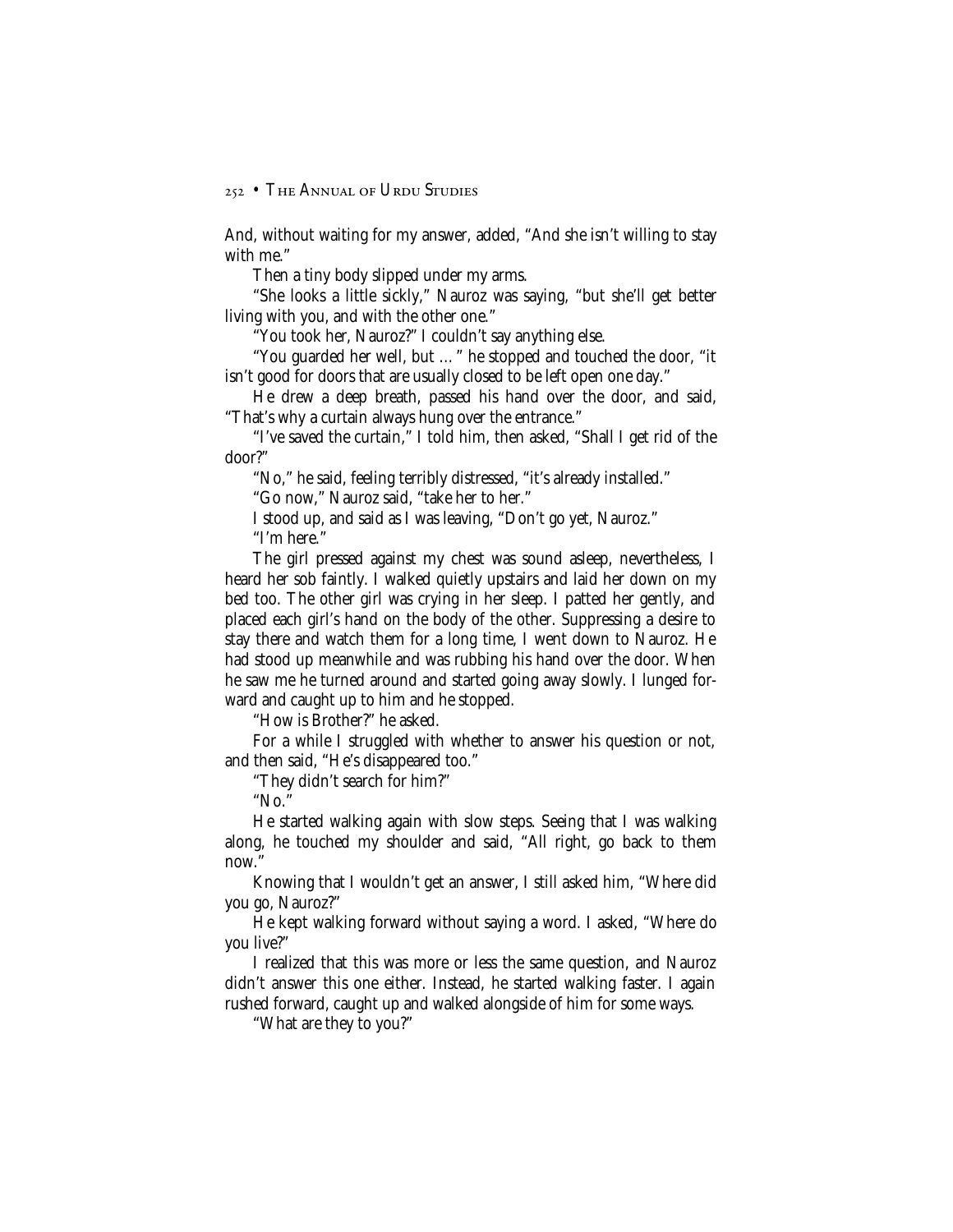And, without waiting for my answer, added, "And she isn't willing to stay with me."

Then a tiny body slipped under my arms.

"She looks a little sickly," Nauroz was saying, "but she'll get better living with you, and with the other one."

"You took her, Nauroz?" I couldn't say anything else.

"You guarded her well, but …" he stopped and touched the door, "it isn't good for doors that are usually closed to be left open one day."

He drew a deep breath, passed his hand over the door, and said, "That's why a curtain always hung over the entrance."

"I've saved the curtain," I told him, then asked, "Shall I get rid of the door?"

"No," he said, feeling terribly distressed, "it's already installed."

"Go now," Nauroz said, "take her to her."

I stood up, and said as I was leaving, "Don't go yet, Nauroz."

"I'm here."

The girl pressed against my chest was sound asleep, nevertheless, I heard her sob faintly. I walked quietly upstairs and laid her down on my bed too. The other girl was crying in her sleep. I patted her gently, and placed each girl's hand on the body of the other. Suppressing a desire to stay there and watch them for a long time, I went down to Nauroz. He had stood up meanwhile and was rubbing his hand over the door. When he saw me he turned around and started going away slowly. I lunged forward and caught up to him and he stopped.

"How is Brother?" he asked.

For a while I struggled with whether to answer his question or not, and then said, "He's disappeared too."

"They didn't search for him?"

"No."

He started walking again with slow steps. Seeing that I was walking along, he touched my shoulder and said, "All right, go back to them now."

Knowing that I wouldn't get an answer, I still asked him, "Where did you go, Nauroz?"

He kept walking forward without saying a word. I asked, "Where do you live?"

I realized that this was more or less the same question, and Nauroz didn't answer this one either. Instead, he started walking faster. I again rushed forward, caught up and walked alongside of him for some ways.

"What are they to you?"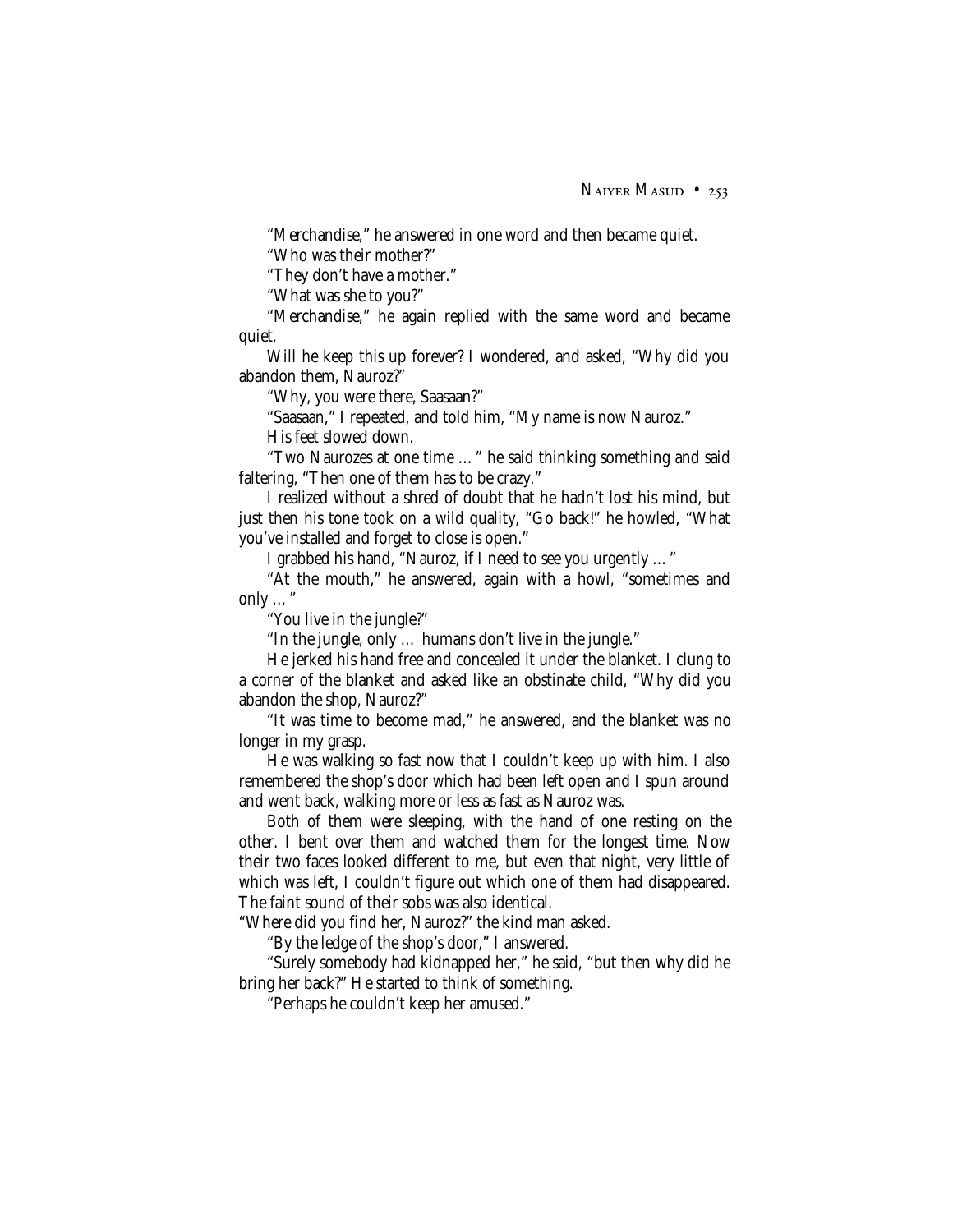"Merchandise," he answered in one word and then became quiet.

"Who was their mother?"

"They don't have a mother."

"What was she to you?"

"Merchandise," he again replied with the same word and became quiet.

Will he keep this up forever? I wondered, and asked, "Why did you abandon them, Nauroz?"

"Why, you were there, Saasaan?"

"Saasaan," I repeated, and told him, "My name is now Nauroz."

His feet slowed down.

"Two Naurozes at one time …" he said thinking something and said faltering, "Then one of them has to be crazy."

I realized without a shred of doubt that he hadn't lost his mind, but just then his tone took on a wild quality, "Go back!" he howled, "What you've installed and forget to close is open."

I grabbed his hand, "Nauroz, if I need to see you urgently …"

"At the mouth," he answered, again with a howl, "sometimes and only …"

"You live in the jungle?"

"In the jungle, only … humans don't live in the jungle."

He jerked his hand free and concealed it under the blanket. I clung to a corner of the blanket and asked like an obstinate child, "Why did you abandon the shop, Nauroz?"

"It was time to become mad," he answered, and the blanket was no longer in my grasp.

He was walking so fast now that I couldn't keep up with him. I also remembered the shop's door which had been left open and I spun around and went back, walking more or less as fast as Nauroz was.

Both of them were sleeping, with the hand of one resting on the other. I bent over them and watched them for the longest time. Now their two faces looked different to me, but even that night, very little of which was left, I couldn't figure out which one of them had disappeared. The faint sound of their sobs was also identical.

"Where did you find her, Nauroz?" the kind man asked.

"By the ledge of the shop's door," I answered.

"Surely somebody had kidnapped her," he said, "but then why did he bring her back?" He started to think of something.

"Perhaps he couldn't keep her amused."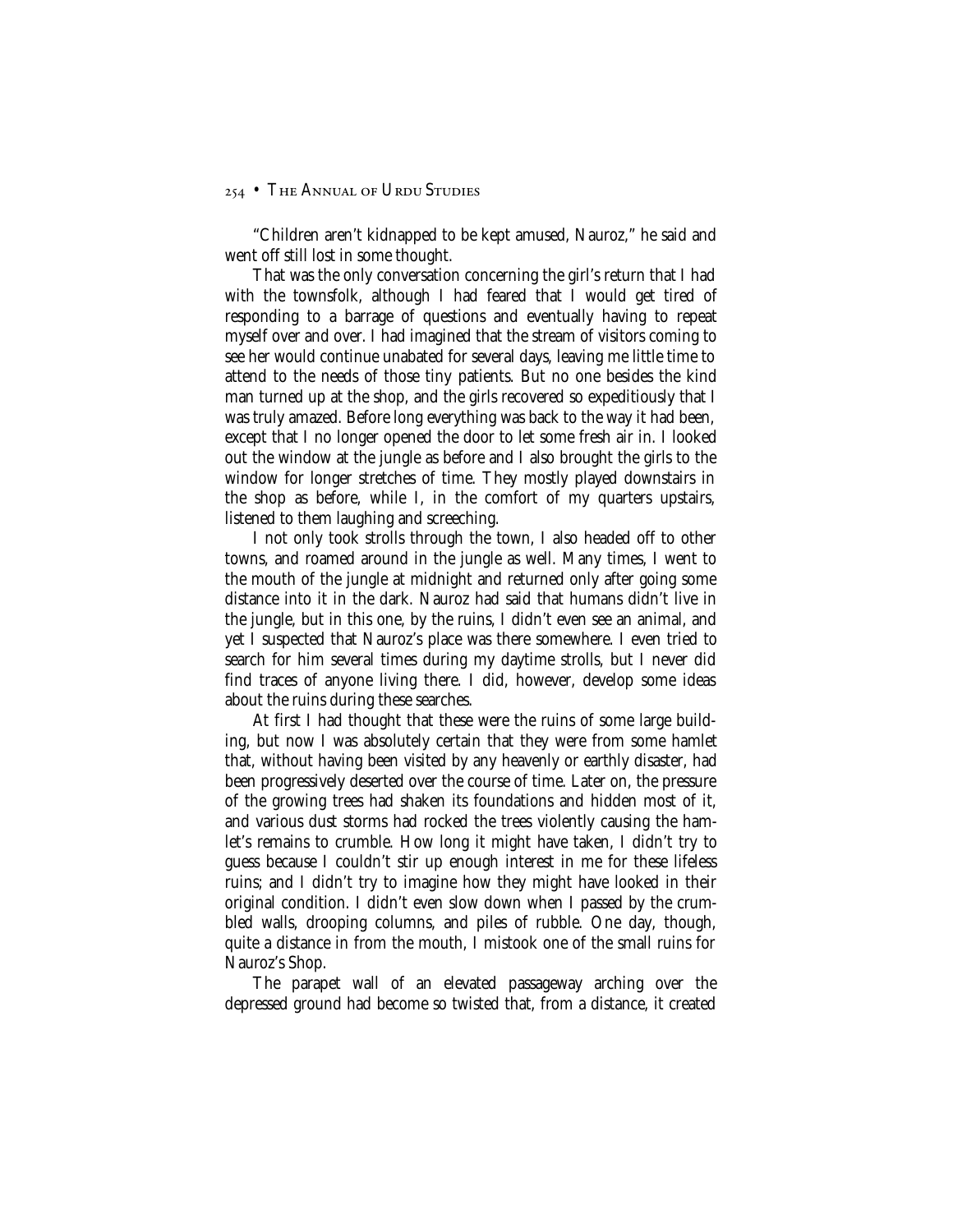"Children aren't kidnapped to be kept amused, Nauroz," he said and went off still lost in some thought.

That was the only conversation concerning the girl's return that I had with the townsfolk, although I had feared that I would get tired of responding to a barrage of questions and eventually having to repeat myself over and over. I had imagined that the stream of visitors coming to see her would continue unabated for several days, leaving me little time to attend to the needs of those tiny patients. But no one besides the kind man turned up at the shop, and the girls recovered so expeditiously that I was truly amazed. Before long everything was back to the way it had been, except that I no longer opened the door to let some fresh air in. I looked out the window at the jungle as before and I also brought the girls to the window for longer stretches of time. They mostly played downstairs in the shop as before, while I, in the comfort of my quarters upstairs, listened to them laughing and screeching.

I not only took strolls through the town, I also headed off to other towns, and roamed around in the jungle as well. Many times, I went to the mouth of the jungle at midnight and returned only after going some distance into it in the dark. Nauroz had said that humans didn't live in the jungle, but in this one, by the ruins, I didn't even see an animal, and yet I suspected that Nauroz's place was there somewhere. I even tried to search for him several times during my daytime strolls, but I never did find traces of anyone living there. I did, however, develop some ideas about the ruins during these searches.

At first I had thought that these were the ruins of some large building, but now I was absolutely certain that they were from some hamlet that, without having been visited by any heavenly or earthly disaster, had been progressively deserted over the course of time. Later on, the pressure of the growing trees had shaken its foundations and hidden most of it, and various dust storms had rocked the trees violently causing the hamlet's remains to crumble. How long it might have taken, I didn't try to guess because I couldn't stir up enough interest in me for these lifeless ruins; and I didn't try to imagine how they might have looked in their original condition. I didn't even slow down when I passed by the crumbled walls, drooping columns, and piles of rubble. One day, though, quite a distance in from the mouth, I mistook one of the small ruins for Nauroz's Shop.

The parapet wall of an elevated passageway arching over the depressed ground had become so twisted that, from a distance, it created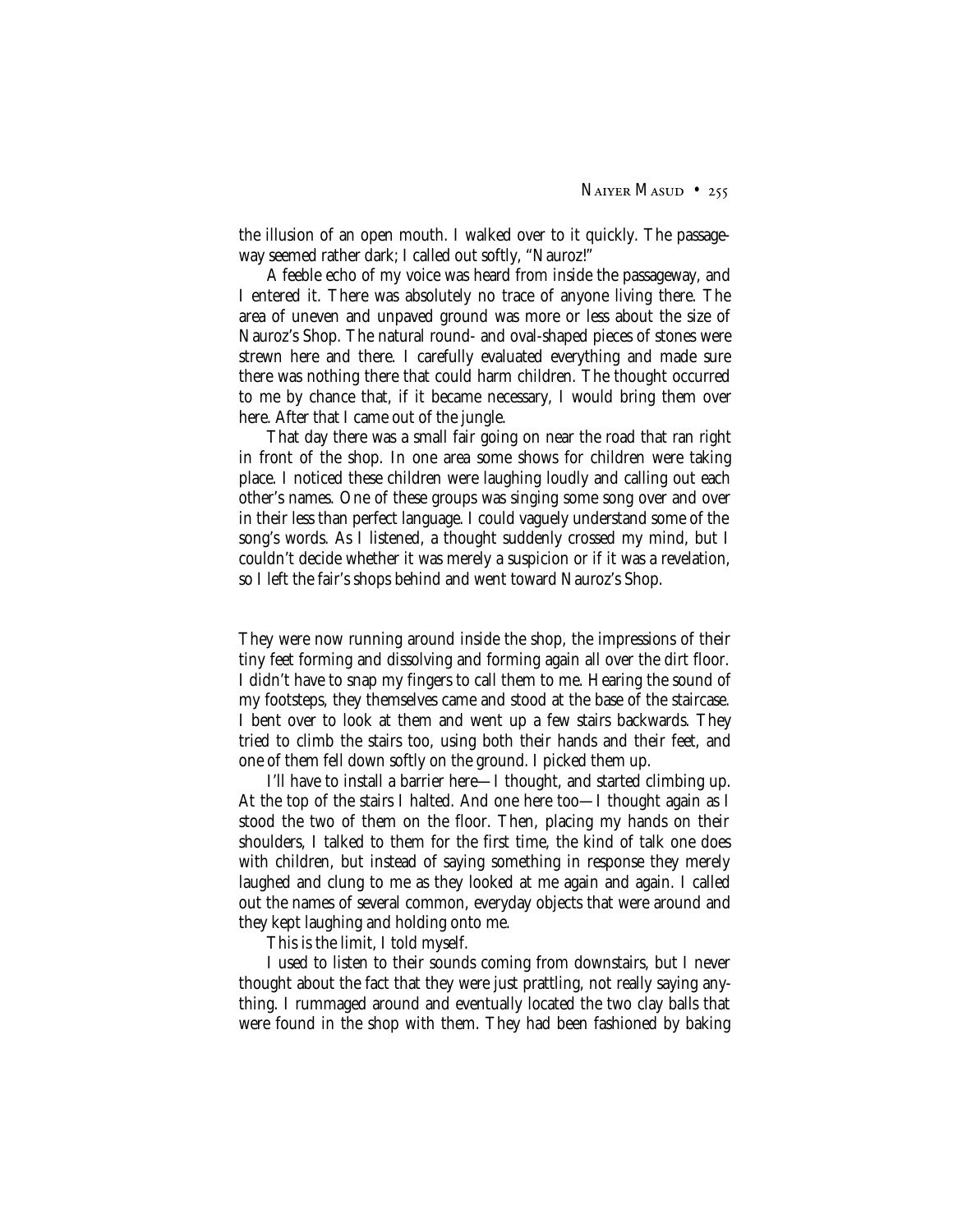the illusion of an open mouth. I walked over to it quickly. The passageway seemed rather dark; I called out softly, "Nauroz!"

A feeble echo of my voice was heard from inside the passageway, and I entered it. There was absolutely no trace of anyone living there. The area of uneven and unpaved ground was more or less about the size of Nauroz's Shop. The natural round- and oval-shaped pieces of stones were strewn here and there. I carefully evaluated everything and made sure there was nothing there that could harm children. The thought occurred to me by chance that, if it became necessary, I would bring them over here. After that I came out of the jungle.

That day there was a small fair going on near the road that ran right in front of the shop. In one area some shows for children were taking place. I noticed these children were laughing loudly and calling out each other's names. One of these groups was singing some song over and over in their less than perfect language. I could vaguely understand some of the song's words. As I listened, a thought suddenly crossed my mind, but I couldn't decide whether it was merely a suspicion or if it was a revelation, so I left the fair's shops behind and went toward Nauroz's Shop.

They were now running around inside the shop, the impressions of their tiny feet forming and dissolving and forming again all over the dirt floor. I didn't have to snap my fingers to call them to me. Hearing the sound of my footsteps, they themselves came and stood at the base of the staircase. I bent over to look at them and went up a few stairs backwards. They tried to climb the stairs too, using both their hands and their feet, and one of them fell down softly on the ground. I picked them up.

I'll have to install a barrier here—I thought, and started climbing up. At the top of the stairs I halted. And one here too—I thought again as I stood the two of them on the floor. Then, placing my hands on their shoulders, I talked to them for the first time, the kind of talk one does with children, but instead of saying something in response they merely laughed and clung to me as they looked at me again and again. I called out the names of several common, everyday objects that were around and they kept laughing and holding onto me.

This is the limit, I told myself.

I used to listen to their sounds coming from downstairs, but I never thought about the fact that they were just prattling, not really saying anything. I rummaged around and eventually located the two clay balls that were found in the shop with them. They had been fashioned by baking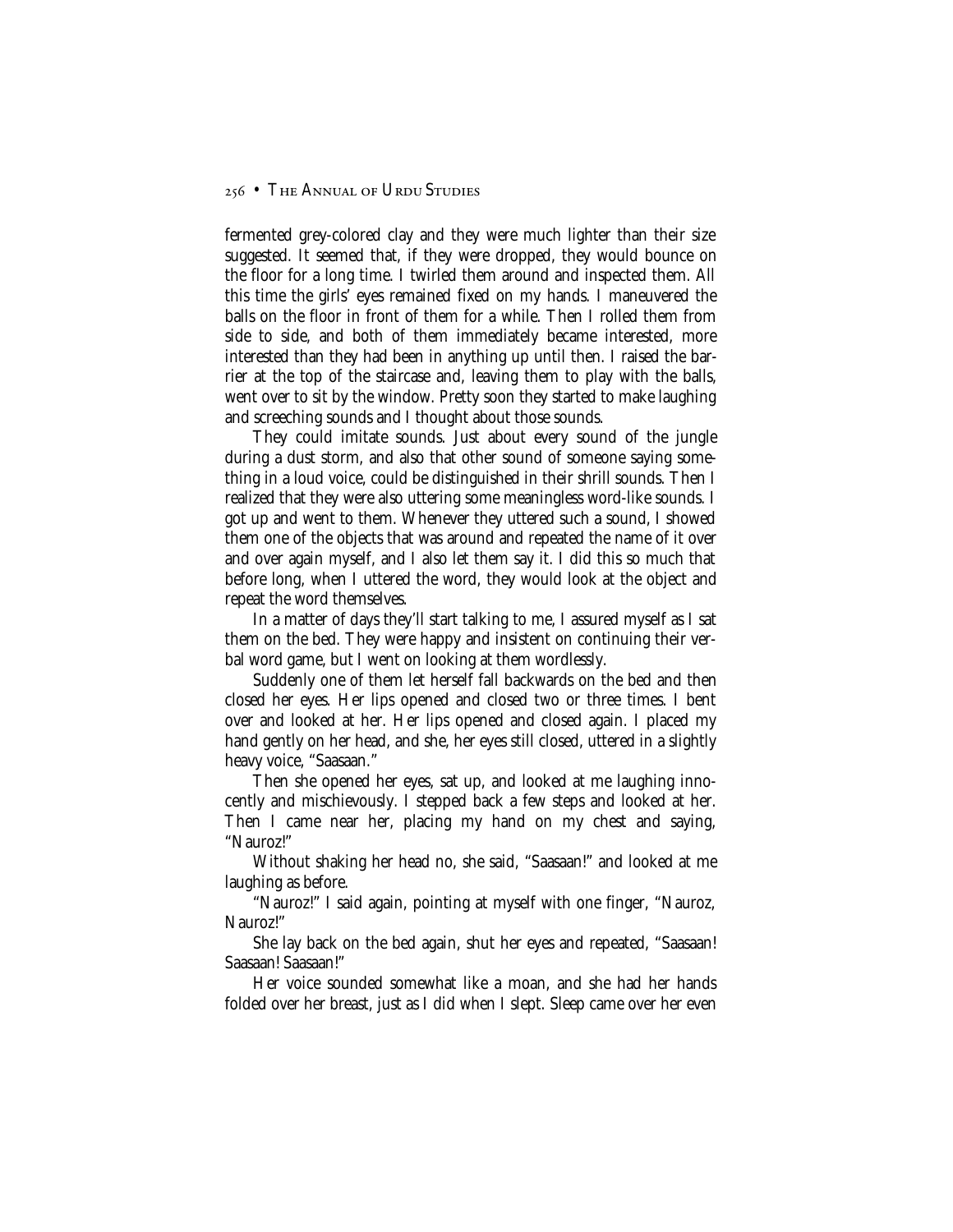fermented grey-colored clay and they were much lighter than their size suggested. It seemed that, if they were dropped, they would bounce on the floor for a long time. I twirled them around and inspected them. All this time the girls' eyes remained fixed on my hands. I maneuvered the balls on the floor in front of them for a while. Then I rolled them from side to side, and both of them immediately became interested, more interested than they had been in anything up until then. I raised the barrier at the top of the staircase and, leaving them to play with the balls, went over to sit by the window. Pretty soon they started to make laughing and screeching sounds and I thought about those sounds.

They could imitate sounds. Just about every sound of the jungle during a dust storm, and also that other sound of someone saying something in a loud voice, could be distinguished in their shrill sounds. Then I realized that they were also uttering some meaningless word-like sounds. I got up and went to them. Whenever they uttered such a sound, I showed them one of the objects that was around and repeated the name of it over and over again myself, and I also let them say it. I did this so much that before long, when I uttered the word, they would look at the object and repeat the word themselves.

In a matter of days they'll start talking to me, I assured myself as I sat them on the bed. They were happy and insistent on continuing their verbal word game, but I went on looking at them wordlessly.

Suddenly one of them let herself fall backwards on the bed and then closed her eyes. Her lips opened and closed two or three times. I bent over and looked at her. Her lips opened and closed again. I placed my hand gently on her head, and she, her eyes still closed, uttered in a slightly heavy voice, "Saasaan."

Then she opened her eyes, sat up, and looked at me laughing innocently and mischievously. I stepped back a few steps and looked at her. Then I came near her, placing my hand on my chest and saying, "Nauroz!"

Without shaking her head no, she said, "Saasaan!" and looked at me laughing as before.

"Nauroz!" I said again, pointing at myself with one finger, "Nauroz, Nauroz!"

She lay back on the bed again, shut her eyes and repeated, "Saasaan! Saasaan! Saasaan!"

Her voice sounded somewhat like a moan, and she had her hands folded over her breast, just as I did when I slept. Sleep came over her even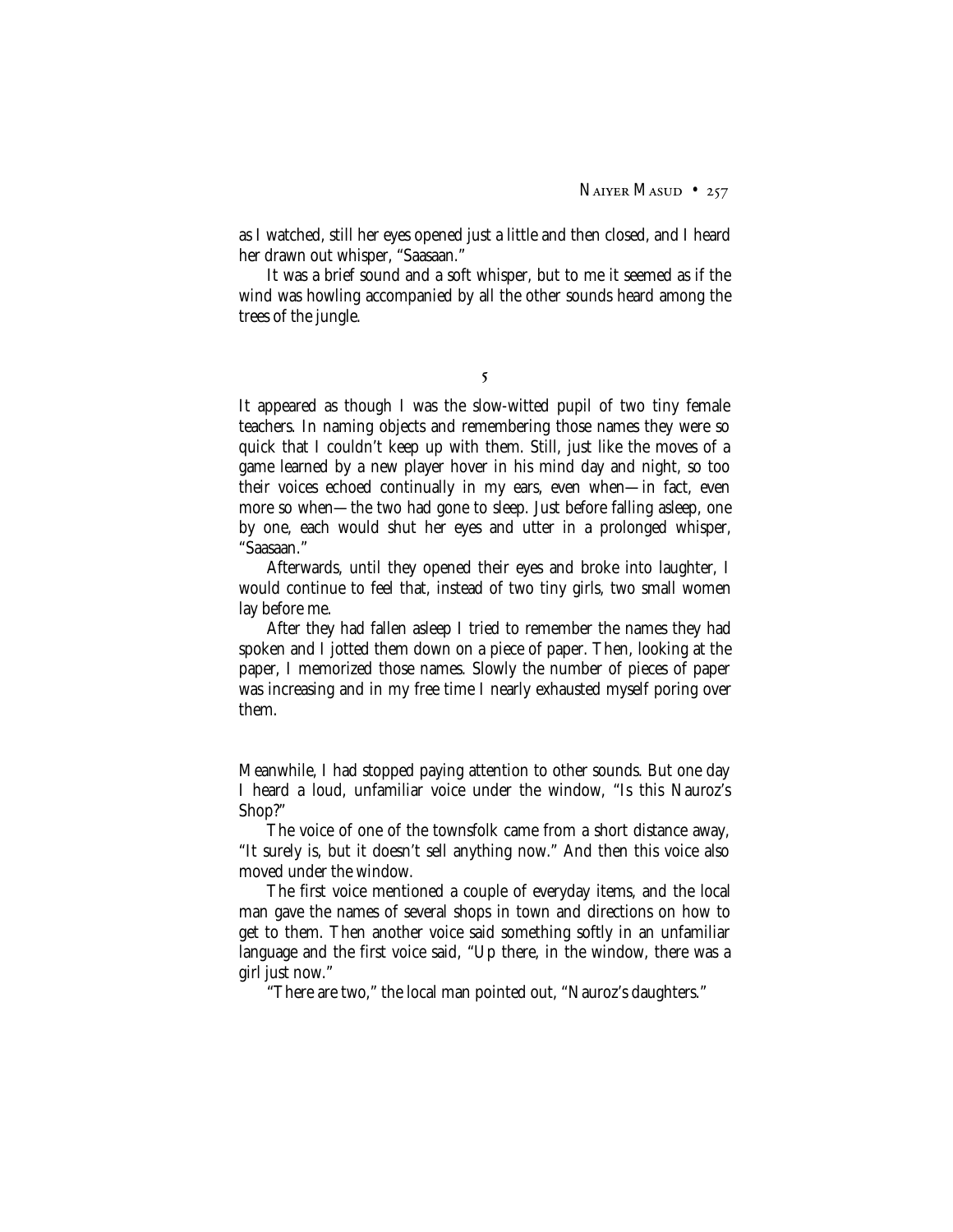as I watched, still her eyes opened just a little and then closed, and I heard her drawn out whisper, "Saasaan."

It was a brief sound and a soft whisper, but to me it seemed as if the wind was howling accompanied by all the other sounds heard among the trees of the jungle.

It appeared as though I was the slow-witted pupil of two tiny female teachers. In naming objects and remembering those names they were so quick that I couldn't keep up with them. Still, just like the moves of a game learned by a new player hover in his mind day and night, so too their voices echoed continually in my ears, even when—in fact, even more so when—the two had gone to sleep. Just before falling asleep, one by one, each would shut her eyes and utter in a prolonged whisper, "Saasaan."

Afterwards, until they opened their eyes and broke into laughter, I would continue to feel that, instead of two tiny girls, two small women lay before me.

After they had fallen asleep I tried to remember the names they had spoken and I jotted them down on a piece of paper. Then, looking at the paper, I memorized those names. Slowly the number of pieces of paper was increasing and in my free time I nearly exhausted myself poring over them.

Meanwhile, I had stopped paying attention to other sounds. But one day I heard a loud, unfamiliar voice under the window, "Is this Nauroz's Shop?"

The voice of one of the townsfolk came from a short distance away, "It surely is, but it doesn't sell anything now." And then this voice also moved under the window.

The first voice mentioned a couple of everyday items, and the local man gave the names of several shops in town and directions on how to get to them. Then another voice said something softly in an unfamiliar language and the first voice said, "Up there, in the window, there was a girl just now."

"There are two," the local man pointed out, "Nauroz's daughters."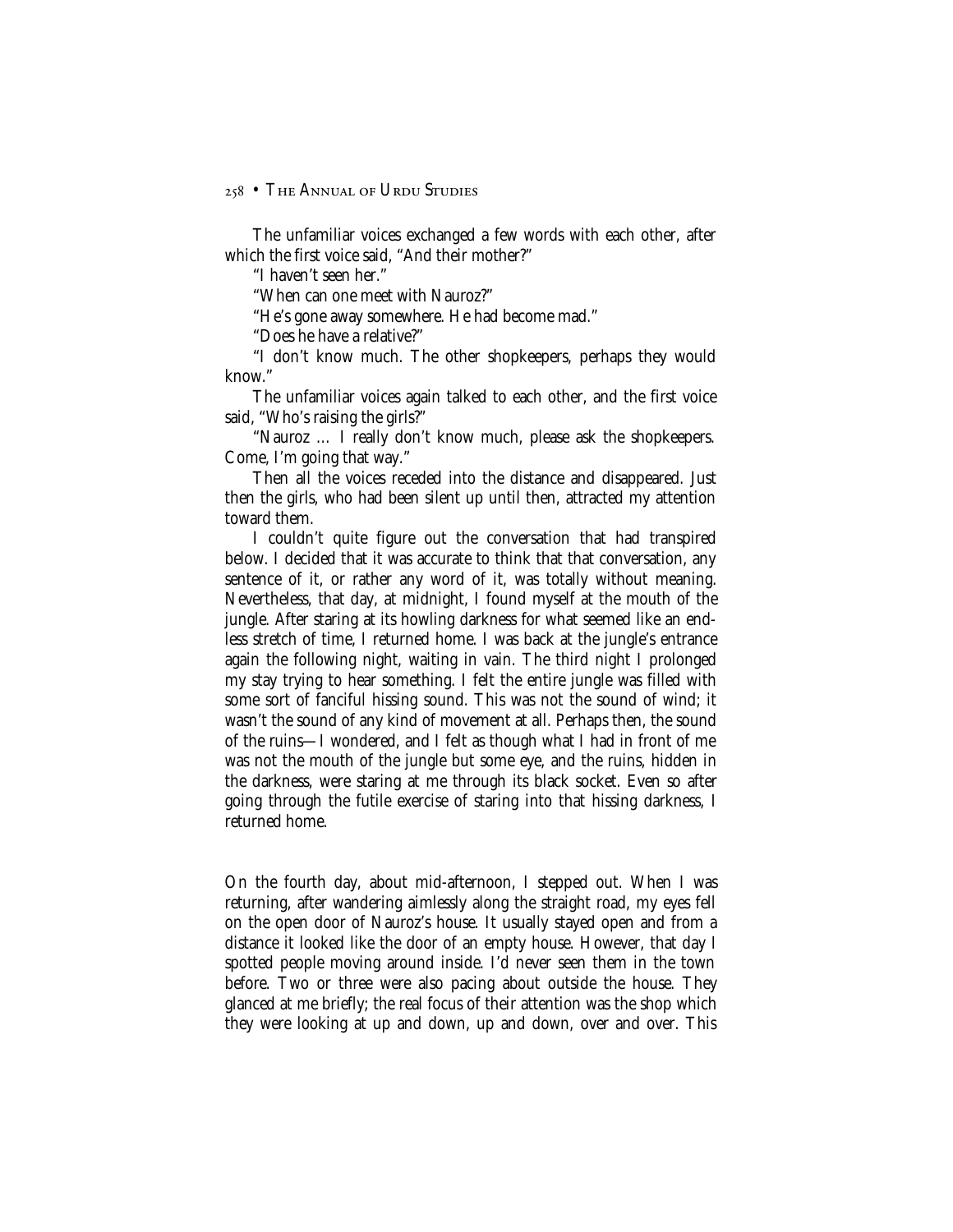The unfamiliar voices exchanged a few words with each other, after which the first voice said, "And their mother?"

"I haven't seen her."

"When can one meet with Nauroz?"

"He's gone away somewhere. He had become mad."

"Does he have a relative?"

"I don't know much. The other shopkeepers, perhaps they would know."

The unfamiliar voices again talked to each other, and the first voice said, "Who's raising the girls?"

"Nauroz … I really don't know much, please ask the shopkeepers. Come, I'm going that way."

Then all the voices receded into the distance and disappeared. Just then the girls, who had been silent up until then, attracted my attention toward them.

I couldn't quite figure out the conversation that had transpired below. I decided that it was accurate to think that that conversation, any sentence of it, or rather any word of it, was totally without meaning. Nevertheless, that day, at midnight, I found myself at the mouth of the jungle. After staring at its howling darkness for what seemed like an endless stretch of time, I returned home. I was back at the jungle's entrance again the following night, waiting in vain. The third night I prolonged my stay trying to hear something. I felt the entire jungle was filled with some sort of fanciful hissing sound. This was not the sound of wind; it wasn't the sound of any kind of movement at all. Perhaps then, the sound of the ruins—I wondered, and I felt as though what I had in front of me was not the mouth of the jungle but some eye, and the ruins, hidden in the darkness, were staring at me through its black socket. Even so after going through the futile exercise of staring into that hissing darkness, I returned home.

On the fourth day, about mid-afternoon, I stepped out. When I was returning, after wandering aimlessly along the straight road, my eyes fell on the open door of Nauroz's house. It usually stayed open and from a distance it looked like the door of an empty house. However, that day I spotted people moving around inside. I'd never seen them in the town before. Two or three were also pacing about outside the house. They glanced at me briefly; the real focus of their attention was the shop which they were looking at up and down, up and down, over and over. This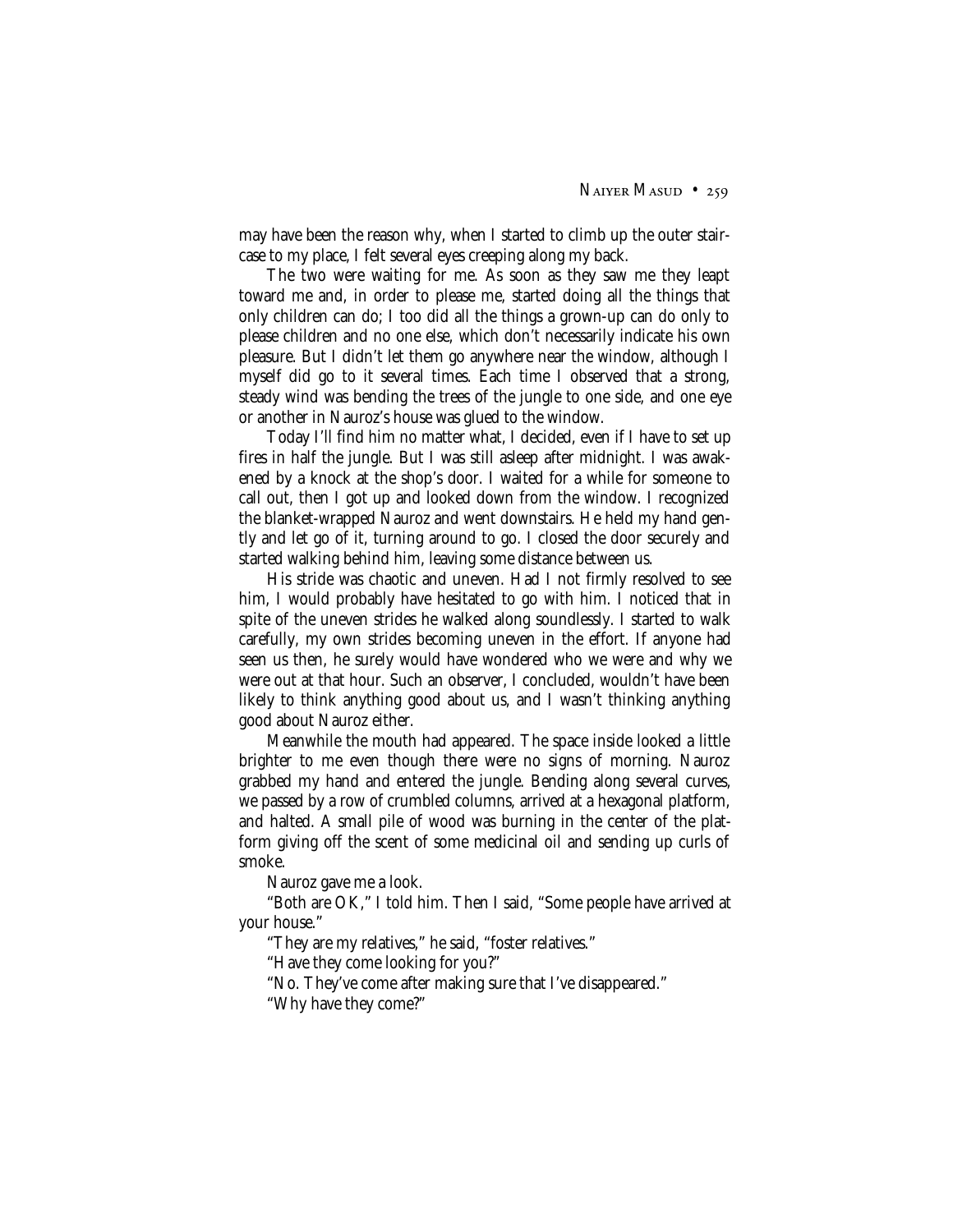may have been the reason why, when I started to climb up the outer staircase to my place, I felt several eyes creeping along my back.

The two were waiting for me. As soon as they saw me they leapt toward me and, in order to please me, started doing all the things that only children can do; I too did all the things a grown-up can do only to please children and no one else, which don't necessarily indicate his own pleasure. But I didn't let them go anywhere near the window, although I myself did go to it several times. Each time I observed that a strong, steady wind was bending the trees of the jungle to one side, and one eye or another in Nauroz's house was glued to the window.

Today I'll find him no matter what, I decided, even if I have to set up fires in half the jungle. But I was still asleep after midnight. I was awakened by a knock at the shop's door. I waited for a while for someone to call out, then I got up and looked down from the window. I recognized the blanket-wrapped Nauroz and went downstairs. He held my hand gently and let go of it, turning around to go. I closed the door securely and started walking behind him, leaving some distance between us.

His stride was chaotic and uneven. Had I not firmly resolved to see him, I would probably have hesitated to go with him. I noticed that in spite of the uneven strides he walked along soundlessly. I started to walk carefully, my own strides becoming uneven in the effort. If anyone had seen us then, he surely would have wondered who we were and why we were out at that hour. Such an observer, I concluded, wouldn't have been likely to think anything good about us, and I wasn't thinking anything good about Nauroz either.

Meanwhile the mouth had appeared. The space inside looked a little brighter to me even though there were no signs of morning. Nauroz grabbed my hand and entered the jungle. Bending along several curves, we passed by a row of crumbled columns, arrived at a hexagonal platform, and halted. A small pile of wood was burning in the center of the platform giving off the scent of some medicinal oil and sending up curls of smoke.

Nauroz gave me a look.

"Both are OK," I told him. Then I said, "Some people have arrived at your house."

"They are my relatives," he said, "foster relatives."

"Have they come looking for you?"

"No. They've come after making sure that I've disappeared."

"Why have they come?"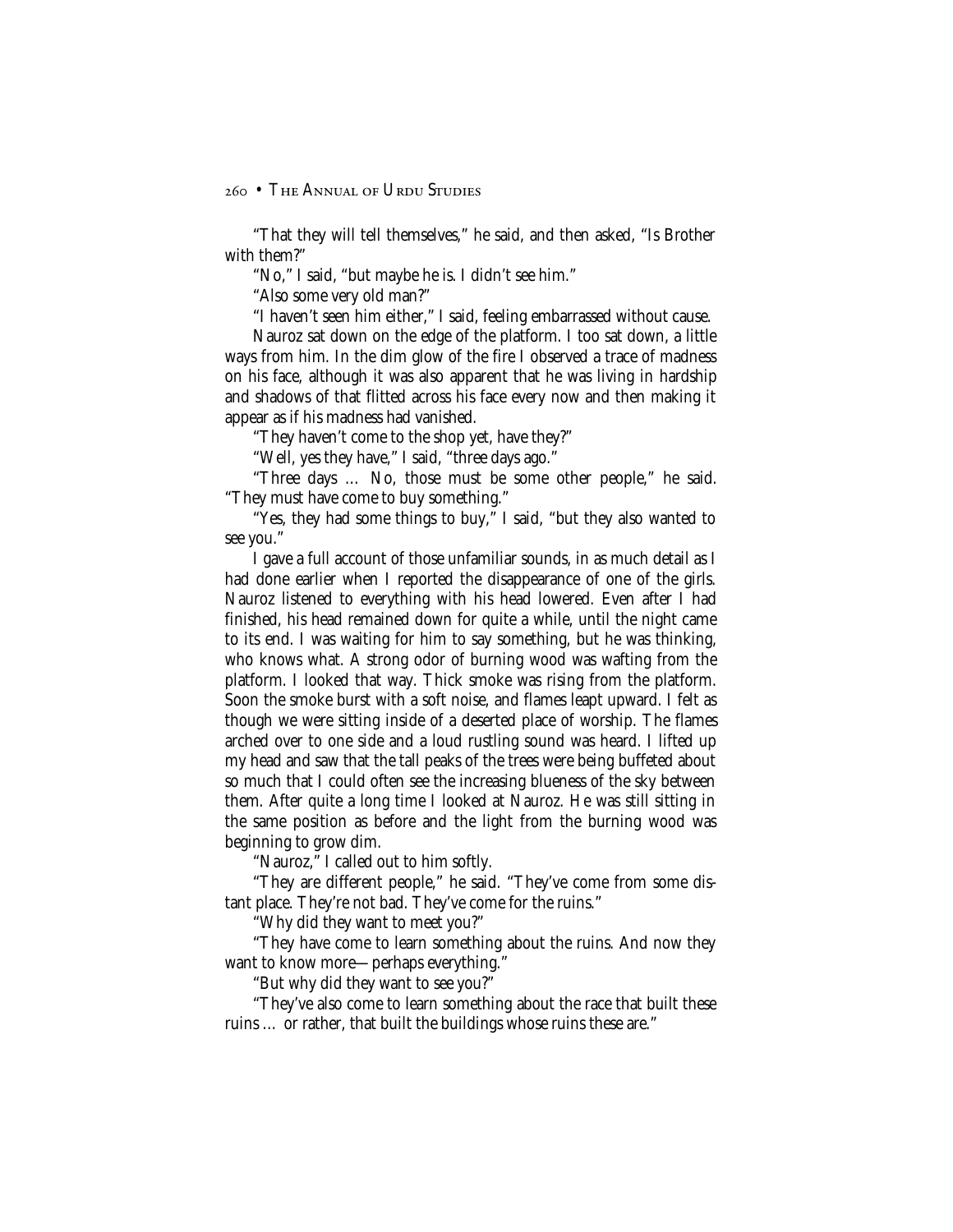"That they will tell themselves," he said, and then asked, "Is Brother with them?"

"No," I said, "but maybe he is. I didn't see him."

"Also some very old man?"

"I haven't seen him either," I said, feeling embarrassed without cause.

Nauroz sat down on the edge of the platform. I too sat down, a little ways from him. In the dim glow of the fire I observed a trace of madness on his face, although it was also apparent that he was living in hardship and shadows of that flitted across his face every now and then making it appear as if his madness had vanished.

"They haven't come to the shop yet, have they?"

"Well, yes they have," I said, "three days ago."

"Three days … No, those must be some other people," he said. "They must have come to buy something."

"Yes, they had some things to buy," I said, "but they also wanted to see you."

I gave a full account of those unfamiliar sounds, in as much detail as I had done earlier when I reported the disappearance of one of the girls. Nauroz listened to everything with his head lowered. Even after I had finished, his head remained down for quite a while, until the night came to its end. I was waiting for him to say something, but he was thinking, who knows what. A strong odor of burning wood was wafting from the platform. I looked that way. Thick smoke was rising from the platform. Soon the smoke burst with a soft noise, and flames leapt upward. I felt as though we were sitting inside of a deserted place of worship. The flames arched over to one side and a loud rustling sound was heard. I lifted up my head and saw that the tall peaks of the trees were being buffeted about so much that I could often see the increasing blueness of the sky between them. After quite a long time I looked at Nauroz. He was still sitting in the same position as before and the light from the burning wood was beginning to grow dim.

"Nauroz," I called out to him softly.

"They are different people," he said. "They've come from some distant place. They're not bad. They've come for the ruins."

"Why did they want to meet you?"

"They have come to learn something about the ruins. And now they want to know more—perhaps everything."

"But why did they want to see you?"

"They've also come to learn something about the race that built these ruins … or rather, that built the buildings whose ruins these are."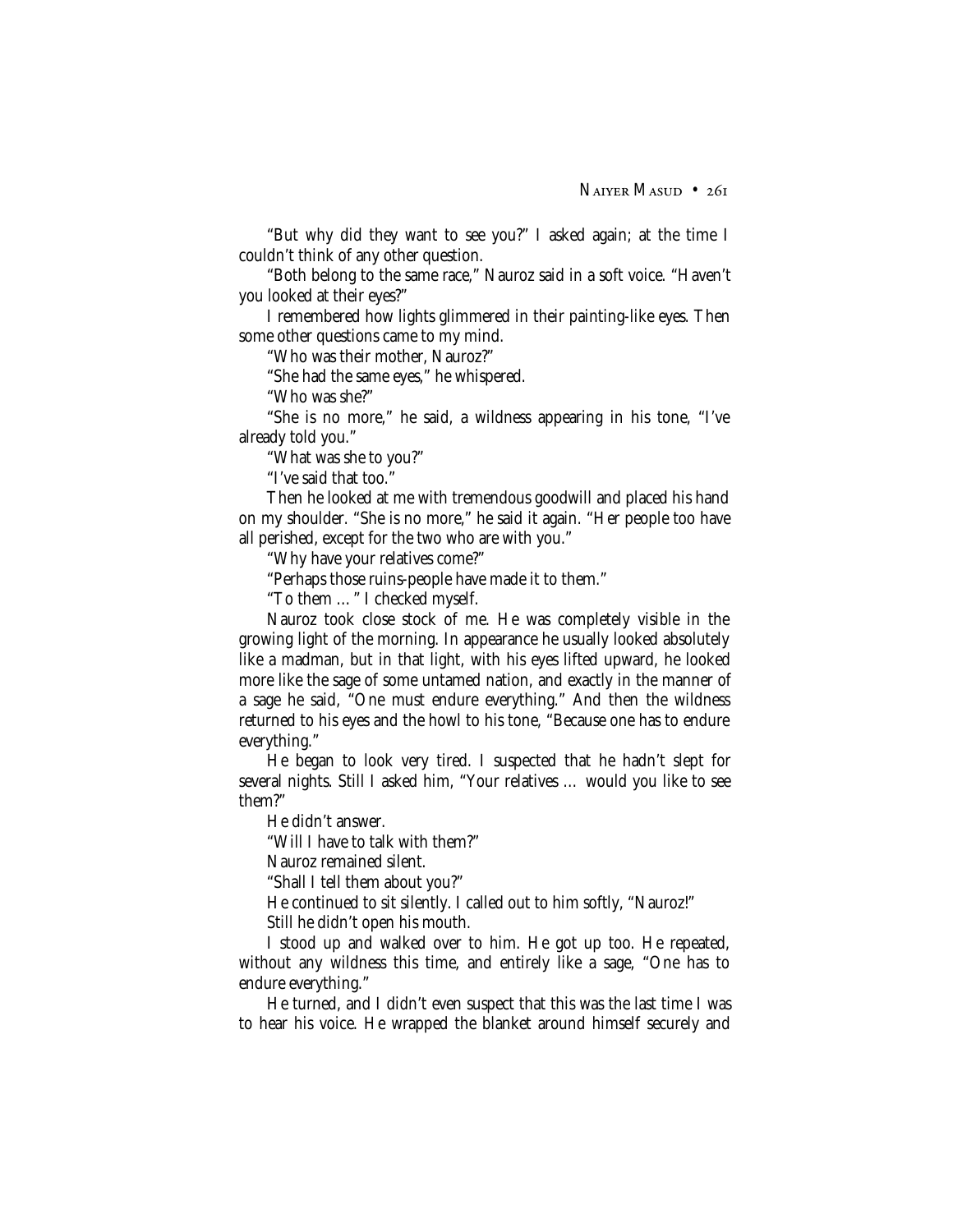"But why did they want to see you?" I asked again; at the time I couldn't think of any other question.

"Both belong to the same race," Nauroz said in a soft voice. "Haven't you looked at their eyes?"

I remembered how lights glimmered in their painting-like eyes. Then some other questions came to my mind.

"Who was their mother, Nauroz?"

"She had the same eyes," he whispered.

"Who was she?"

"She is no more," he said, a wildness appearing in his tone, "I've already told you."

"What was she to you?"

"I've said that too."

Then he looked at me with tremendous goodwill and placed his hand on my shoulder. "She is no more," he said it again. "Her people too have all perished, except for the two who are with you."

"Why have your relatives come?"

"Perhaps those ruins-people have made it to them."

"To them …" I checked myself.

Nauroz took close stock of me. He was completely visible in the growing light of the morning. In appearance he usually looked absolutely like a madman, but in that light, with his eyes lifted upward, he looked more like the sage of some untamed nation, and exactly in the manner of a sage he said, "One must endure everything." And then the wildness returned to his eyes and the howl to his tone, "Because one has to endure everything."

He began to look very tired. I suspected that he hadn't slept for several nights. Still I asked him, "Your relatives … would you like to see them?"

He didn't answer.

"Will I have to talk with them?"

Nauroz remained silent.

"Shall I tell them about you?"

He continued to sit silently. I called out to him softly, "Nauroz!"

Still he didn't open his mouth.

I stood up and walked over to him. He got up too. He repeated, without any wildness this time, and entirely like a sage, "One has to endure everything."

He turned, and I didn't even suspect that this was the last time I was to hear his voice. He wrapped the blanket around himself securely and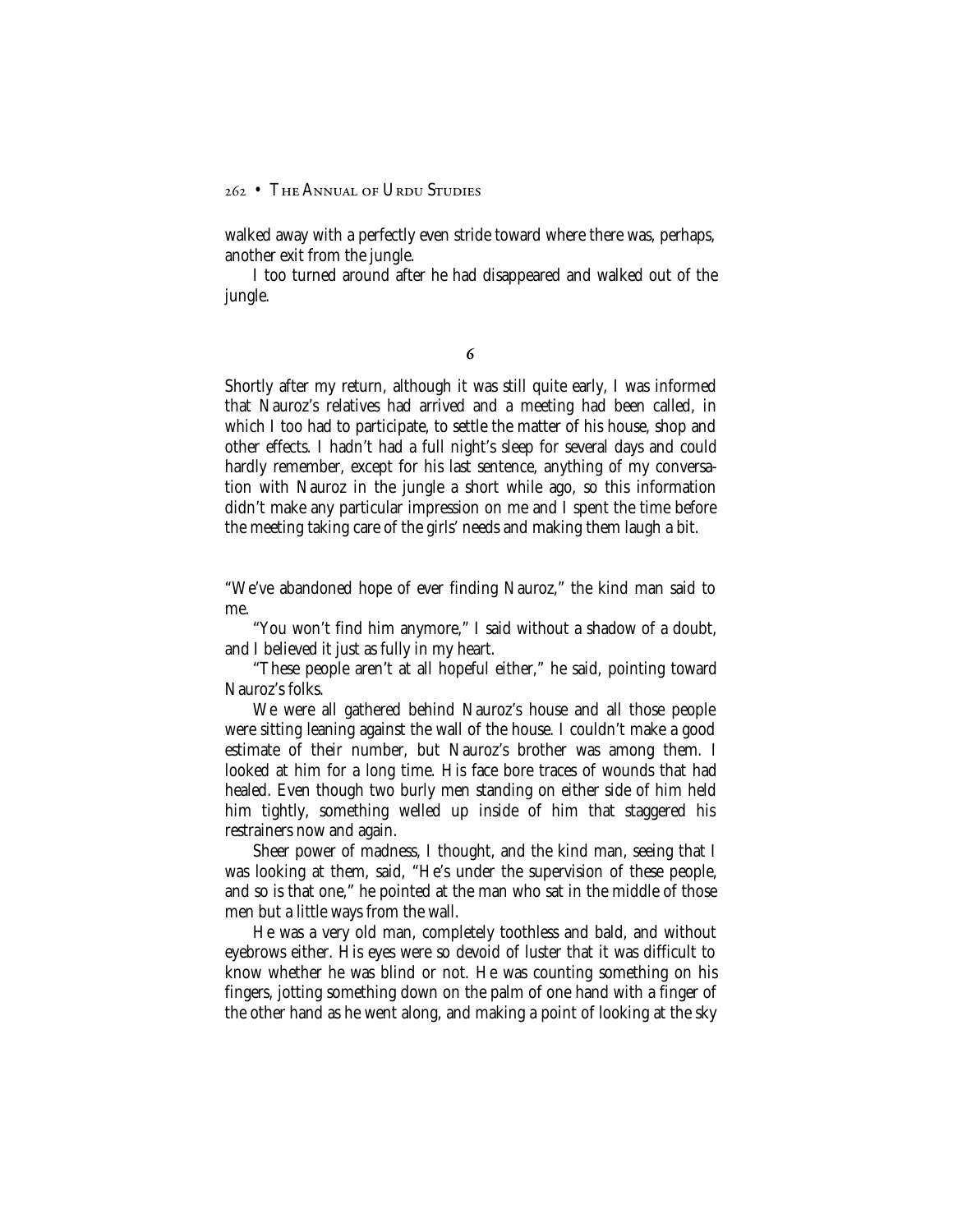walked away with a perfectly even stride toward where there was, perhaps, another exit from the jungle.

I too turned around after he had disappeared and walked out of the jungle.

6

Shortly after my return, although it was still quite early, I was informed that Nauroz's relatives had arrived and a meeting had been called, in which I too had to participate, to settle the matter of his house, shop and other effects. I hadn't had a full night's sleep for several days and could hardly remember, except for his last sentence, anything of my conversation with Nauroz in the jungle a short while ago, so this information didn't make any particular impression on me and I spent the time before the meeting taking care of the girls' needs and making them laugh a bit.

"We've abandoned hope of ever finding Nauroz," the kind man said to me.

"You won't find him anymore," I said without a shadow of a doubt, and I believed it just as fully in my heart.

"These people aren't at all hopeful either," he said, pointing toward Nauroz's folks.

We were all gathered behind Nauroz's house and all those people were sitting leaning against the wall of the house. I couldn't make a good estimate of their number, but Nauroz's brother was among them. I looked at him for a long time. His face bore traces of wounds that had healed. Even though two burly men standing on either side of him held him tightly, something welled up inside of him that staggered his restrainers now and again.

Sheer power of madness, I thought, and the kind man, seeing that I was looking at them, said, "He's under the supervision of these people, and so is that one," he pointed at the man who sat in the middle of those men but a little ways from the wall.

He was a very old man, completely toothless and bald, and without eyebrows either. His eyes were so devoid of luster that it was difficult to know whether he was blind or not. He was counting something on his fingers, jotting something down on the palm of one hand with a finger of the other hand as he went along, and making a point of looking at the sky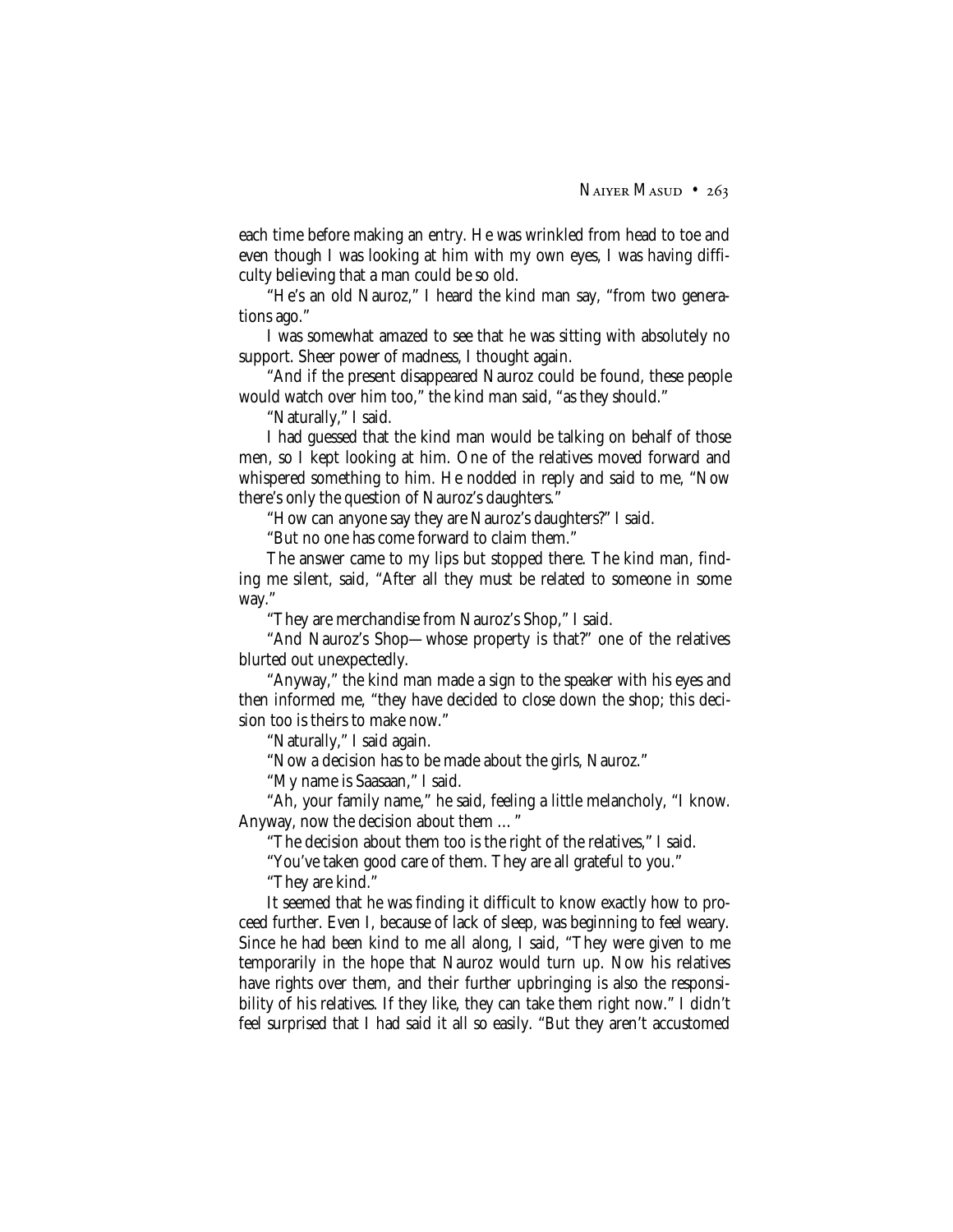each time before making an entry. He was wrinkled from head to toe and even though I was looking at him with my own eyes, I was having difficulty believing that a man could be so old.

"He's an old Nauroz," I heard the kind man say, "from two generations ago."

I was somewhat amazed to see that he was sitting with absolutely no support. Sheer power of madness, I thought again.

"And if the present disappeared Nauroz could be found, these people would watch over him too," the kind man said, "as they should."

"Naturally," I said.

I had guessed that the kind man would be talking on behalf of those men, so I kept looking at him. One of the relatives moved forward and whispered something to him. He nodded in reply and said to me, "Now there's only the question of Nauroz's daughters."

"How can anyone say they are Nauroz's daughters?" I said.

"But no one has come forward to claim them."

The answer came to my lips but stopped there. The kind man, finding me silent, said, "After all they must be related to someone in some way."

"They are merchandise from Nauroz's Shop," I said.

"And Nauroz's Shop—whose property is that?" one of the relatives blurted out unexpectedly.

"Anyway," the kind man made a sign to the speaker with his eyes and then informed me, "they have decided to close down the shop; this decision too is theirs to make now."

"Naturally," I said again.

"Now a decision has to be made about the girls, Nauroz."

"My name is Saasaan," I said.

"Ah, your family name," he said, feeling a little melancholy, "I know. Anyway, now the decision about them …"

"The decision about them too is the right of the relatives," I said.

"You've taken good care of them. They are all grateful to you."

"They are kind."

It seemed that he was finding it difficult to know exactly how to proceed further. Even I, because of lack of sleep, was beginning to feel weary. Since he had been kind to me all along, I said, "They were given to me temporarily in the hope that Nauroz would turn up. Now his relatives have rights over them, and their further upbringing is also the responsibility of his relatives. If they like, they can take them right now." I didn't feel surprised that I had said it all so easily. "But they aren't accustomed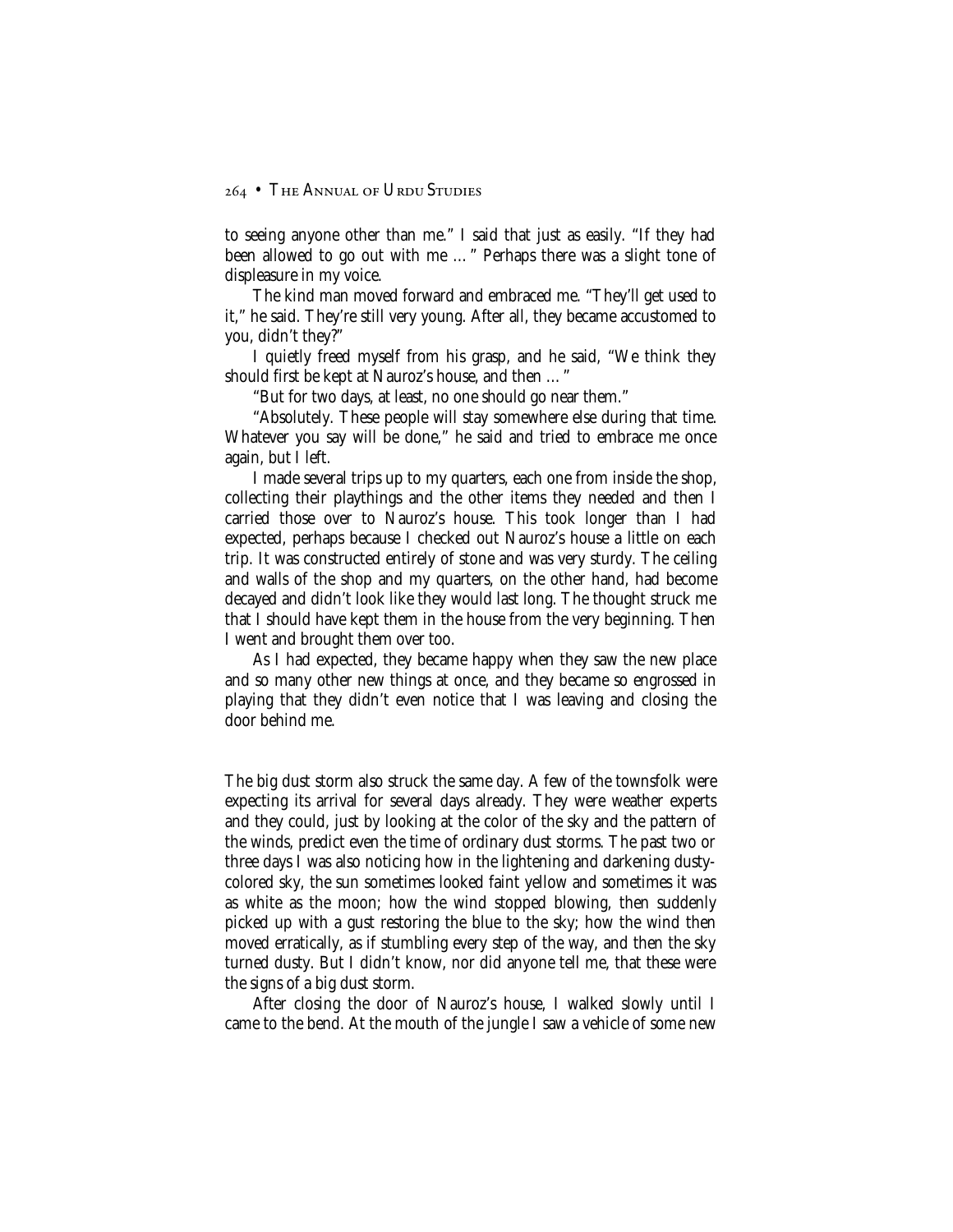to seeing anyone other than me." I said that just as easily. "If they had been allowed to go out with me …" Perhaps there was a slight tone of displeasure in my voice.

The kind man moved forward and embraced me. "They'll get used to it," he said. They're still very young. After all, they became accustomed to you, didn't they?"

I quietly freed myself from his grasp, and he said, "We think they should first be kept at Nauroz's house, and then …"

"But for two days, at least, no one should go near them."

"Absolutely. These people will stay somewhere else during that time. Whatever you say will be done," he said and tried to embrace me once again, but I left.

I made several trips up to my quarters, each one from inside the shop, collecting their playthings and the other items they needed and then I carried those over to Nauroz's house. This took longer than I had expected, perhaps because I checked out Nauroz's house a little on each trip. It was constructed entirely of stone and was very sturdy. The ceiling and walls of the shop and my quarters, on the other hand, had become decayed and didn't look like they would last long. The thought struck me that I should have kept them in the house from the very beginning. Then I went and brought them over too.

As I had expected, they became happy when they saw the new place and so many other new things at once, and they became so engrossed in playing that they didn't even notice that I was leaving and closing the door behind me.

The big dust storm also struck the same day. A few of the townsfolk were expecting its arrival for several days already. They were weather experts and they could, just by looking at the color of the sky and the pattern of the winds, predict even the time of ordinary dust storms. The past two or three days I was also noticing how in the lightening and darkening dustycolored sky, the sun sometimes looked faint yellow and sometimes it was as white as the moon; how the wind stopped blowing, then suddenly picked up with a gust restoring the blue to the sky; how the wind then moved erratically, as if stumbling every step of the way, and then the sky turned dusty. But I didn't know, nor did anyone tell me, that these were the signs of a big dust storm.

After closing the door of Nauroz's house, I walked slowly until I came to the bend. At the mouth of the jungle I saw a vehicle of some new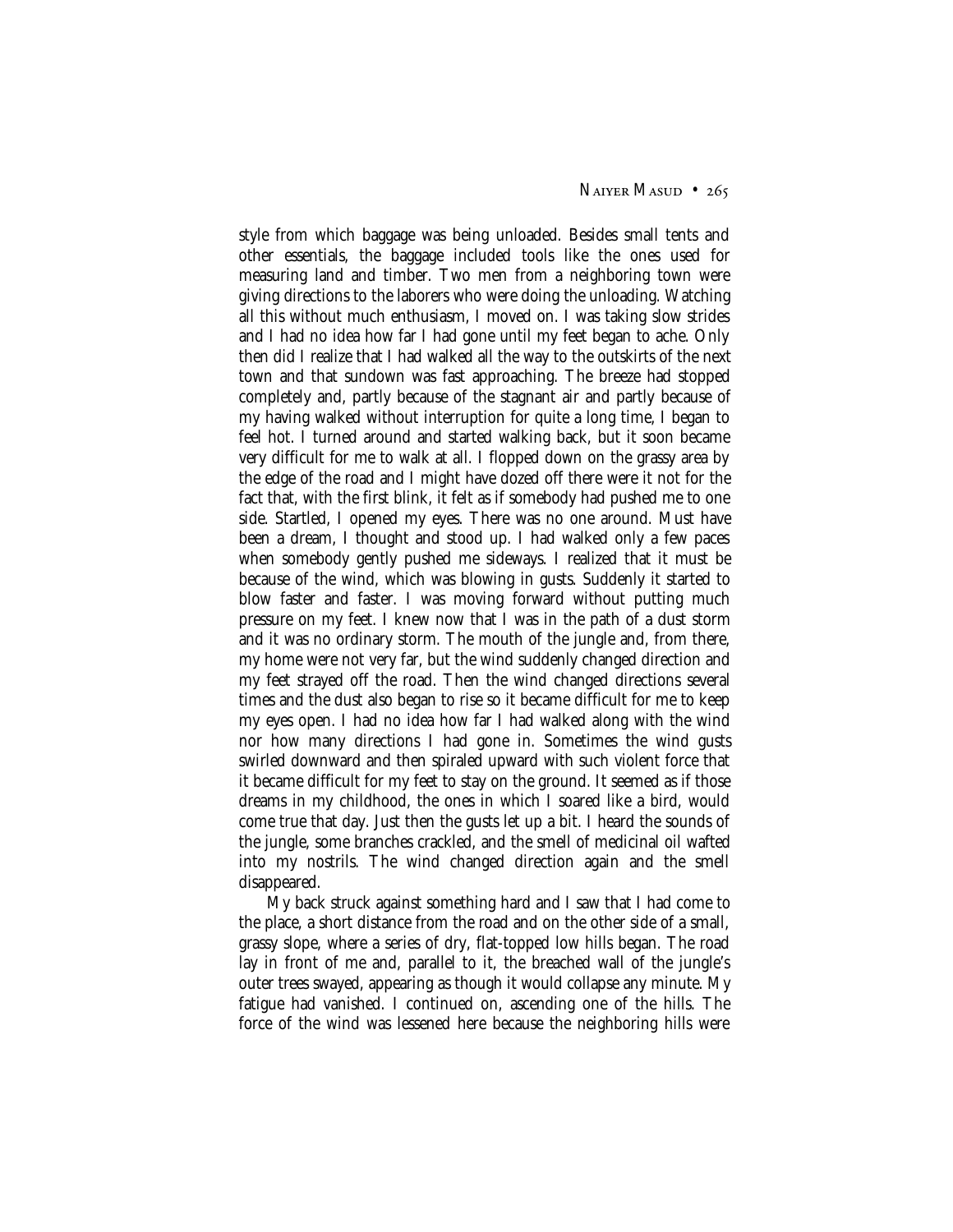style from which baggage was being unloaded. Besides small tents and other essentials, the baggage included tools like the ones used for measuring land and timber. Two men from a neighboring town were giving directions to the laborers who were doing the unloading. Watching all this without much enthusiasm, I moved on. I was taking slow strides and I had no idea how far I had gone until my feet began to ache. Only then did I realize that I had walked all the way to the outskirts of the next town and that sundown was fast approaching. The breeze had stopped completely and, partly because of the stagnant air and partly because of my having walked without interruption for quite a long time, I began to feel hot. I turned around and started walking back, but it soon became very difficult for me to walk at all. I flopped down on the grassy area by the edge of the road and I might have dozed off there were it not for the fact that, with the first blink, it felt as if somebody had pushed me to one side. Startled, I opened my eyes. There was no one around. Must have been a dream, I thought and stood up. I had walked only a few paces when somebody gently pushed me sideways. I realized that it must be because of the wind, which was blowing in gusts. Suddenly it started to blow faster and faster. I was moving forward without putting much pressure on my feet. I knew now that I was in the path of a dust storm and it was no ordinary storm. The mouth of the jungle and, from there, my home were not very far, but the wind suddenly changed direction and my feet strayed off the road. Then the wind changed directions several times and the dust also began to rise so it became difficult for me to keep my eyes open. I had no idea how far I had walked along with the wind nor how many directions I had gone in. Sometimes the wind gusts swirled downward and then spiraled upward with such violent force that it became difficult for my feet to stay on the ground. It seemed as if those dreams in my childhood, the ones in which I soared like a bird, would come true that day. Just then the gusts let up a bit. I heard the sounds of the jungle, some branches crackled, and the smell of medicinal oil wafted into my nostrils. The wind changed direction again and the smell disappeared.

My back struck against something hard and I saw that I had come to the place, a short distance from the road and on the other side of a small, grassy slope, where a series of dry, flat-topped low hills began. The road lay in front of me and, parallel to it, the breached wall of the jungle's outer trees swayed, appearing as though it would collapse any minute. My fatigue had vanished. I continued on, ascending one of the hills. The force of the wind was lessened here because the neighboring hills were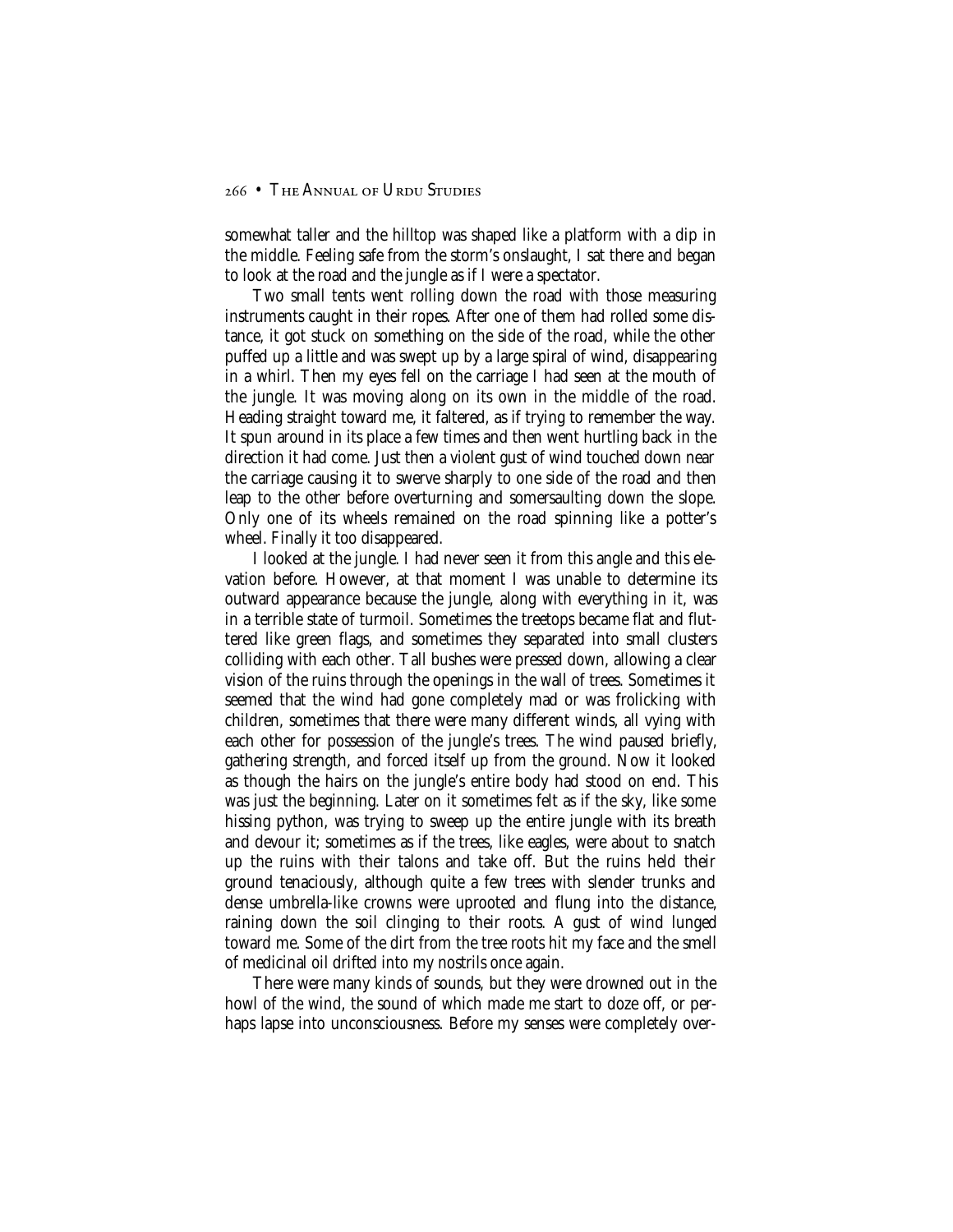somewhat taller and the hilltop was shaped like a platform with a dip in the middle. Feeling safe from the storm's onslaught, I sat there and began to look at the road and the jungle as if I were a spectator.

Two small tents went rolling down the road with those measuring instruments caught in their ropes. After one of them had rolled some distance, it got stuck on something on the side of the road, while the other puffed up a little and was swept up by a large spiral of wind, disappearing in a whirl. Then my eyes fell on the carriage I had seen at the mouth of the jungle. It was moving along on its own in the middle of the road. Heading straight toward me, it faltered, as if trying to remember the way. It spun around in its place a few times and then went hurtling back in the direction it had come. Just then a violent gust of wind touched down near the carriage causing it to swerve sharply to one side of the road and then leap to the other before overturning and somersaulting down the slope. Only one of its wheels remained on the road spinning like a potter's wheel. Finally it too disappeared.

I looked at the jungle. I had never seen it from this angle and this elevation before. However, at that moment I was unable to determine its outward appearance because the jungle, along with everything in it, was in a terrible state of turmoil. Sometimes the treetops became flat and fluttered like green flags, and sometimes they separated into small clusters colliding with each other. Tall bushes were pressed down, allowing a clear vision of the ruins through the openings in the wall of trees. Sometimes it seemed that the wind had gone completely mad or was frolicking with children, sometimes that there were many different winds, all vying with each other for possession of the jungle's trees. The wind paused briefly, gathering strength, and forced itself up from the ground. Now it looked as though the hairs on the jungle's entire body had stood on end. This was just the beginning. Later on it sometimes felt as if the sky, like some hissing python, was trying to sweep up the entire jungle with its breath and devour it; sometimes as if the trees, like eagles, were about to snatch up the ruins with their talons and take off. But the ruins held their ground tenaciously, although quite a few trees with slender trunks and dense umbrella-like crowns were uprooted and flung into the distance, raining down the soil clinging to their roots. A gust of wind lunged toward me. Some of the dirt from the tree roots hit my face and the smell of medicinal oil drifted into my nostrils once again.

There were many kinds of sounds, but they were drowned out in the howl of the wind, the sound of which made me start to doze off, or perhaps lapse into unconsciousness. Before my senses were completely over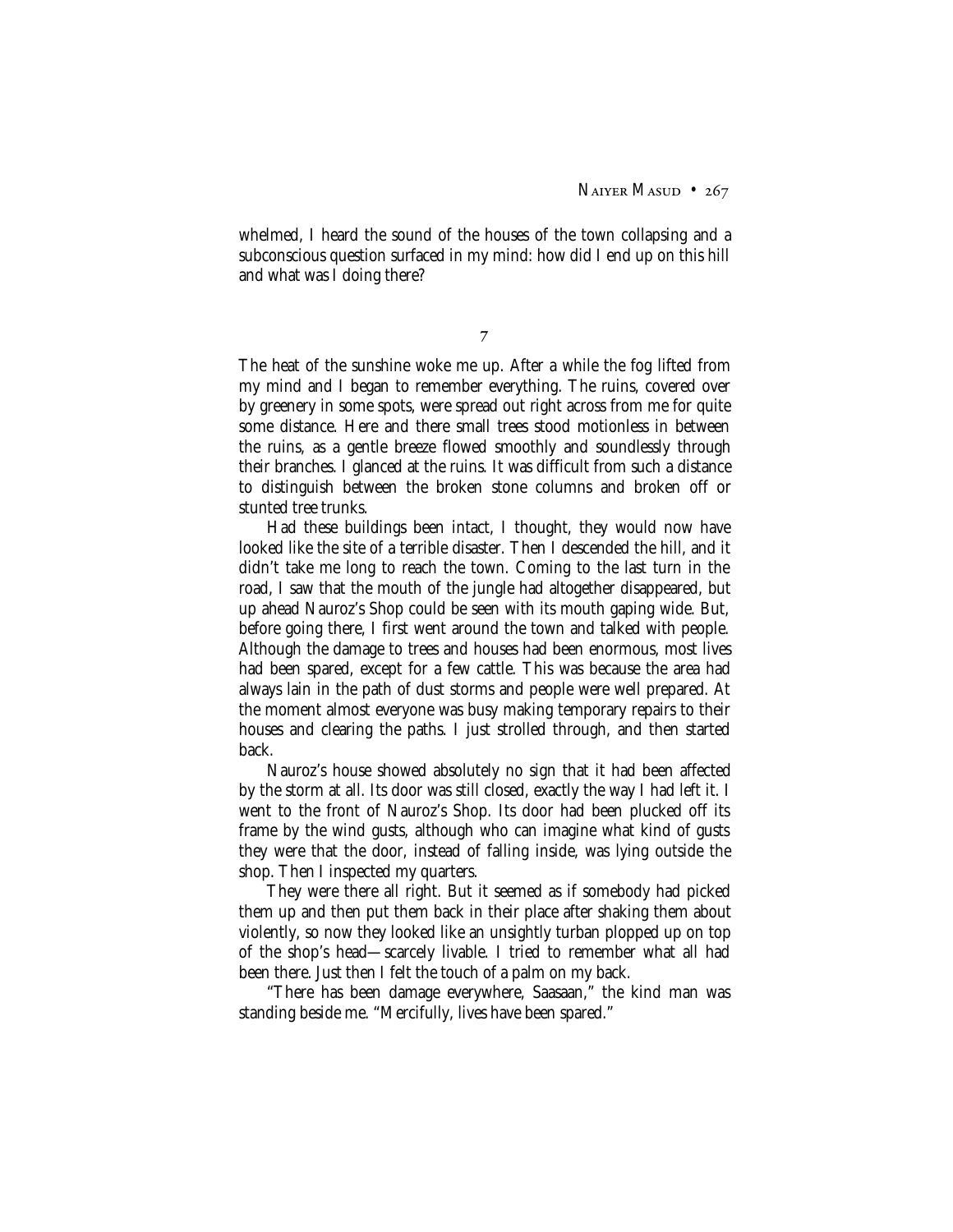whelmed, I heard the sound of the houses of the town collapsing and a subconscious question surfaced in my mind: how did I end up on this hill and what was I doing there?

7

The heat of the sunshine woke me up. After a while the fog lifted from my mind and I began to remember everything. The ruins, covered over by greenery in some spots, were spread out right across from me for quite some distance. Here and there small trees stood motionless in between the ruins, as a gentle breeze flowed smoothly and soundlessly through their branches. I glanced at the ruins. It was difficult from such a distance to distinguish between the broken stone columns and broken off or stunted tree trunks.

Had these buildings been intact, I thought, they would now have looked like the site of a terrible disaster. Then I descended the hill, and it didn't take me long to reach the town. Coming to the last turn in the road, I saw that the mouth of the jungle had altogether disappeared, but up ahead Nauroz's Shop could be seen with its mouth gaping wide. But, before going there, I first went around the town and talked with people. Although the damage to trees and houses had been enormous, most lives had been spared, except for a few cattle. This was because the area had always lain in the path of dust storms and people were well prepared. At the moment almost everyone was busy making temporary repairs to their houses and clearing the paths. I just strolled through, and then started back.

Nauroz's house showed absolutely no sign that it had been affected by the storm at all. Its door was still closed, exactly the way I had left it. I went to the front of Nauroz's Shop. Its door had been plucked off its frame by the wind gusts, although who can imagine what kind of gusts they were that the door, instead of falling inside, was lying outside the shop. Then I inspected my quarters.

They were there all right. But it seemed as if somebody had picked them up and then put them back in their place after shaking them about violently, so now they looked like an unsightly turban plopped up on top of the shop's head—scarcely livable. I tried to remember what all had been there. Just then I felt the touch of a palm on my back.

"There has been damage everywhere, Saasaan," the kind man was standing beside me. "Mercifully, lives have been spared."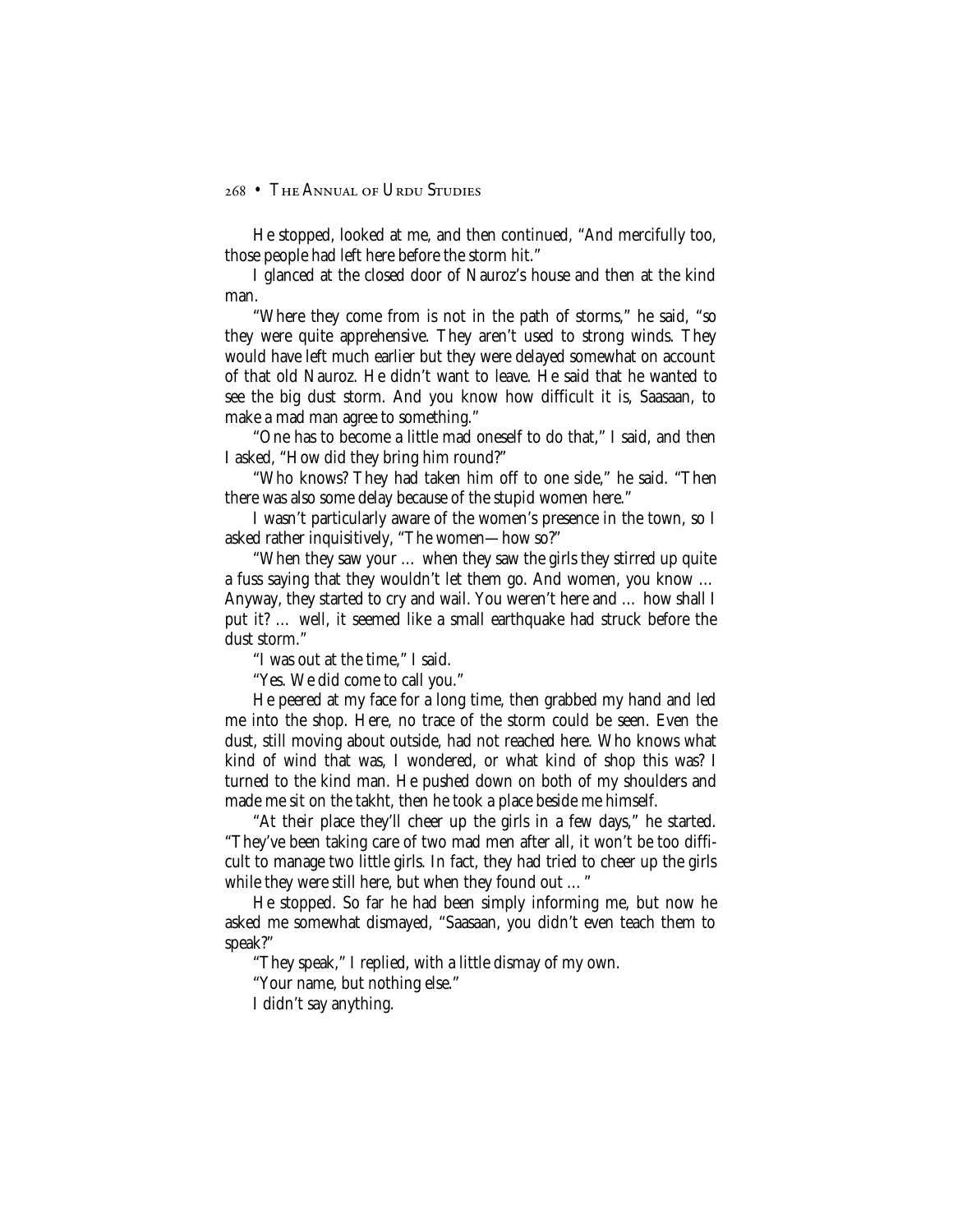He stopped, looked at me, and then continued, "And mercifully too, those people had left here before the storm hit."

I glanced at the closed door of Nauroz's house and then at the kind man.

"Where they come from is not in the path of storms," he said, "so they were quite apprehensive. They aren't used to strong winds. They would have left much earlier but they were delayed somewhat on account of that old Nauroz. He didn't want to leave. He said that he wanted to see the big dust storm. And you know how difficult it is, Saasaan, to make a mad man agree to something."

"One has to become a little mad oneself to do that," I said, and then I asked, "How did they bring him round?"

"Who knows? They had taken him off to one side," he said. "Then there was also some delay because of the stupid women here."

I wasn't particularly aware of the women's presence in the town, so I asked rather inquisitively, "The women—how so?"

"When they saw your … when they saw the girls they stirred up quite a fuss saying that they wouldn't let them go. And women, you know … Anyway, they started to cry and wail. You weren't here and … how shall I put it? … well, it seemed like a small earthquake had struck before the dust storm."

"I was out at the time," I said.

"Yes. We did come to call you."

He peered at my face for a long time, then grabbed my hand and led me into the shop. Here, no trace of the storm could be seen. Even the dust, still moving about outside, had not reached here. Who knows what kind of wind that was, I wondered, or what kind of shop this was? I turned to the kind man. He pushed down on both of my shoulders and made me sit on the takht, then he took a place beside me himself.

"At their place they'll cheer up the girls in a few days," he started. "They've been taking care of two mad men after all, it won't be too difficult to manage two little girls. In fact, they had tried to cheer up the girls while they were still here, but when they found out …"

He stopped. So far he had been simply informing me, but now he asked me somewhat dismayed, "Saasaan, you didn't even teach them to speak?"

"They speak," I replied, with a little dismay of my own.

"Your name, but nothing else."

I didn't say anything.